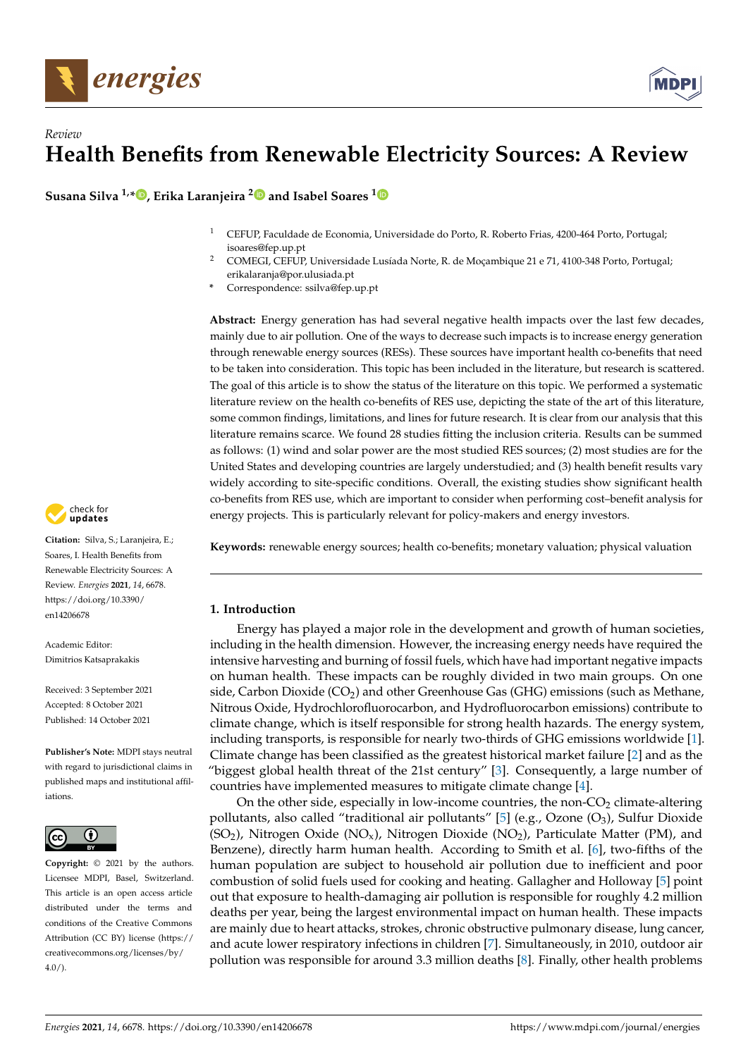

# *Review* **Health Benefits from Renewable Electricity Sources: A Review**

**Susana Silva 1,[\\*](https://orcid.org/0000-0001-9657-3839) , Erika Laranjeira [2](https://orcid.org/0000-0003-2957-9020) and Isabel Soares [1](https://orcid.org/0000-0002-2707-7089)**

- <sup>1</sup> CEFUP, Faculdade de Economia, Universidade do Porto, R. Roberto Frias, 4200-464 Porto, Portugal; isoares@fep.up.pt
- <sup>2</sup> COMEGI, CEFUP, Universidade Lusíada Norte, R. de Moçambique 21 e 71, 4100-348 Porto, Portugal; erikalaranja@por.ulusiada.pt
- **\*** Correspondence: ssilva@fep.up.pt

**Abstract:** Energy generation has had several negative health impacts over the last few decades, mainly due to air pollution. One of the ways to decrease such impacts is to increase energy generation through renewable energy sources (RESs). These sources have important health co-benefits that need to be taken into consideration. This topic has been included in the literature, but research is scattered. The goal of this article is to show the status of the literature on this topic. We performed a systematic literature review on the health co-benefits of RES use, depicting the state of the art of this literature, some common findings, limitations, and lines for future research. It is clear from our analysis that this literature remains scarce. We found 28 studies fitting the inclusion criteria. Results can be summed as follows: (1) wind and solar power are the most studied RES sources; (2) most studies are for the United States and developing countries are largely understudied; and (3) health benefit results vary widely according to site-specific conditions. Overall, the existing studies show significant health co-benefits from RES use, which are important to consider when performing cost–benefit analysis for energy projects. This is particularly relevant for policy-makers and energy investors.

**Keywords:** renewable energy sources; health co-benefits; monetary valuation; physical valuation

# **1. Introduction**

Energy has played a major role in the development and growth of human societies, including in the health dimension. However, the increasing energy needs have required the intensive harvesting and burning of fossil fuels, which have had important negative impacts on human health. These impacts can be roughly divided in two main groups. On one side, Carbon Dioxide (CO2) and other Greenhouse Gas (GHG) emissions (such as Methane, Nitrous Oxide, Hydrochlorofluorocarbon, and Hydrofluorocarbon emissions) contribute to climate change, which is itself responsible for strong health hazards. The energy system, including transports, is responsible for nearly two-thirds of GHG emissions worldwide [\[1\]](#page-14-0). Climate change has been classified as the greatest historical market failure [\[2\]](#page-14-1) and as the "biggest global health threat of the 21st century" [\[3\]](#page-14-2). Consequently, a large number of countries have implemented measures to mitigate climate change [\[4\]](#page-14-3).

On the other side, especially in low-income countries, the non- $CO<sub>2</sub>$  climate-altering pollutants, also called "traditional air pollutants" [\[5\]](#page-14-4) (e.g., Ozone  $(O_3)$ , Sulfur Dioxide  $(SO<sub>2</sub>)$ , Nitrogen Oxide (NO<sub>x</sub>), Nitrogen Dioxide (NO<sub>2</sub>), Particulate Matter (PM), and Benzene), directly harm human health. According to Smith et al. [\[6\]](#page-14-5), two-fifths of the human population are subject to household air pollution due to inefficient and poor combustion of solid fuels used for cooking and heating. Gallagher and Holloway [\[5\]](#page-14-4) point out that exposure to health-damaging air pollution is responsible for roughly 4.2 million deaths per year, being the largest environmental impact on human health. These impacts are mainly due to heart attacks, strokes, chronic obstructive pulmonary disease, lung cancer, and acute lower respiratory infections in children [\[7\]](#page-15-0). Simultaneously, in 2010, outdoor air pollution was responsible for around 3.3 million deaths [\[8\]](#page-15-1). Finally, other health problems



**Citation:** Silva, S.; Laranjeira, E.; Soares, I. Health Benefits from Renewable Electricity Sources: A Review. *Energies* **2021**, *14*, 6678. [https://doi.org/10.3390/](https://doi.org/10.3390/en14206678) [en14206678](https://doi.org/10.3390/en14206678)

Academic Editor: Dimitrios Katsaprakakis

Received: 3 September 2021 Accepted: 8 October 2021 Published: 14 October 2021

**Publisher's Note:** MDPI stays neutral with regard to jurisdictional claims in published maps and institutional affiliations.



**Copyright:** © 2021 by the authors. Licensee MDPI, Basel, Switzerland. This article is an open access article distributed under the terms and conditions of the Creative Commons Attribution (CC BY) license (https:/[/](https://creativecommons.org/licenses/by/4.0/) [creativecommons.org/licenses/by/](https://creativecommons.org/licenses/by/4.0/)  $4.0/$ ).

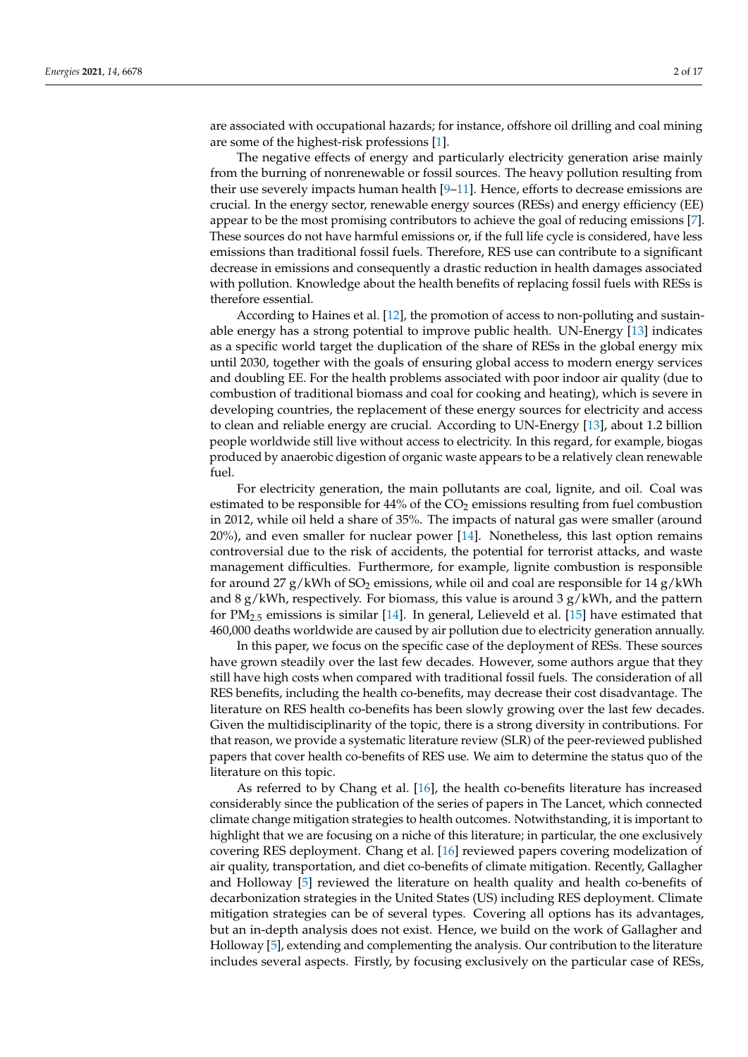are associated with occupational hazards; for instance, offshore oil drilling and coal mining are some of the highest-risk professions [\[1\]](#page-14-0).

The negative effects of energy and particularly electricity generation arise mainly from the burning of nonrenewable or fossil sources. The heavy pollution resulting from their use severely impacts human health [\[9](#page-15-2)[–11\]](#page-15-3). Hence, efforts to decrease emissions are crucial. In the energy sector, renewable energy sources (RESs) and energy efficiency (EE) appear to be the most promising contributors to achieve the goal of reducing emissions [\[7\]](#page-15-0). These sources do not have harmful emissions or, if the full life cycle is considered, have less emissions than traditional fossil fuels. Therefore, RES use can contribute to a significant decrease in emissions and consequently a drastic reduction in health damages associated with pollution. Knowledge about the health benefits of replacing fossil fuels with RESs is therefore essential.

According to Haines et al. [\[12\]](#page-15-4), the promotion of access to non-polluting and sustainable energy has a strong potential to improve public health. UN-Energy [\[13\]](#page-15-5) indicates as a specific world target the duplication of the share of RESs in the global energy mix until 2030, together with the goals of ensuring global access to modern energy services and doubling EE. For the health problems associated with poor indoor air quality (due to combustion of traditional biomass and coal for cooking and heating), which is severe in developing countries, the replacement of these energy sources for electricity and access to clean and reliable energy are crucial. According to UN-Energy [\[13\]](#page-15-5), about 1.2 billion people worldwide still live without access to electricity. In this regard, for example, biogas produced by anaerobic digestion of organic waste appears to be a relatively clean renewable fuel.

For electricity generation, the main pollutants are coal, lignite, and oil. Coal was estimated to be responsible for  $44\%$  of the  $CO<sub>2</sub>$  emissions resulting from fuel combustion in 2012, while oil held a share of 35%. The impacts of natural gas were smaller (around 20%), and even smaller for nuclear power [\[14\]](#page-15-6). Nonetheless, this last option remains controversial due to the risk of accidents, the potential for terrorist attacks, and waste management difficulties. Furthermore, for example, lignite combustion is responsible for around 27 g/kWh of  $SO_2$  emissions, while oil and coal are responsible for 14 g/kWh and 8  $g/kWh$ , respectively. For biomass, this value is around 3  $g/kWh$ , and the pattern for  $PM_{2.5}$  emissions is similar [\[14\]](#page-15-6). In general, Lelieveld et al. [\[15\]](#page-15-7) have estimated that 460,000 deaths worldwide are caused by air pollution due to electricity generation annually.

In this paper, we focus on the specific case of the deployment of RESs. These sources have grown steadily over the last few decades. However, some authors argue that they still have high costs when compared with traditional fossil fuels. The consideration of all RES benefits, including the health co-benefits, may decrease their cost disadvantage. The literature on RES health co-benefits has been slowly growing over the last few decades. Given the multidisciplinarity of the topic, there is a strong diversity in contributions. For that reason, we provide a systematic literature review (SLR) of the peer-reviewed published papers that cover health co-benefits of RES use. We aim to determine the status quo of the literature on this topic.

As referred to by Chang et al. [\[16\]](#page-15-8), the health co-benefits literature has increased considerably since the publication of the series of papers in The Lancet, which connected climate change mitigation strategies to health outcomes. Notwithstanding, it is important to highlight that we are focusing on a niche of this literature; in particular, the one exclusively covering RES deployment. Chang et al. [\[16\]](#page-15-8) reviewed papers covering modelization of air quality, transportation, and diet co-benefits of climate mitigation. Recently, Gallagher and Holloway [\[5\]](#page-14-4) reviewed the literature on health quality and health co-benefits of decarbonization strategies in the United States (US) including RES deployment. Climate mitigation strategies can be of several types. Covering all options has its advantages, but an in-depth analysis does not exist. Hence, we build on the work of Gallagher and Holloway [\[5\]](#page-14-4), extending and complementing the analysis. Our contribution to the literature includes several aspects. Firstly, by focusing exclusively on the particular case of RESs,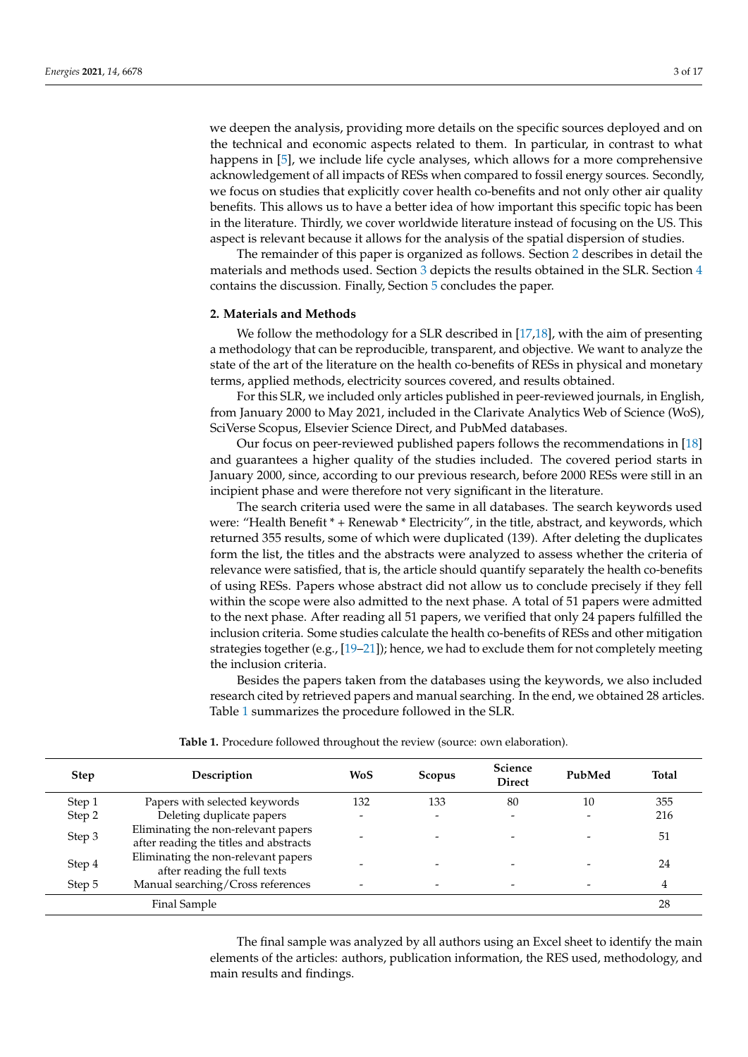we deepen the analysis, providing more details on the specific sources deployed and on the technical and economic aspects related to them. In particular, in contrast to what happens in [\[5\]](#page-14-4), we include life cycle analyses, which allows for a more comprehensive acknowledgement of all impacts of RESs when compared to fossil energy sources. Secondly, we focus on studies that explicitly cover health co-benefits and not only other air quality benefits. This allows us to have a better idea of how important this specific topic has been in the literature. Thirdly, we cover worldwide literature instead of focusing on the US. This aspect is relevant because it allows for the analysis of the spatial dispersion of studies.

The remainder of this paper is organized as follows. Section [2](#page-2-0) describes in detail the materials and methods used. Section [3](#page-3-0) depicts the results obtained in the SLR. Section [4](#page-13-0) contains the discussion. Finally, Section [5](#page-14-6) concludes the paper.

#### <span id="page-2-0"></span>**2. Materials and Methods**

We follow the methodology for a SLR described in [\[17,](#page-15-9)[18\]](#page-15-10), with the aim of presenting a methodology that can be reproducible, transparent, and objective. We want to analyze the state of the art of the literature on the health co-benefits of RESs in physical and monetary terms, applied methods, electricity sources covered, and results obtained.

For this SLR, we included only articles published in peer-reviewed journals, in English, from January 2000 to May 2021, included in the Clarivate Analytics Web of Science (WoS), SciVerse Scopus, Elsevier Science Direct, and PubMed databases.

Our focus on peer-reviewed published papers follows the recommendations in [\[18\]](#page-15-10) and guarantees a higher quality of the studies included. The covered period starts in January 2000, since, according to our previous research, before 2000 RESs were still in an incipient phase and were therefore not very significant in the literature.

The search criteria used were the same in all databases. The search keywords used were: "Health Benefit \* + Renewab \* Electricity", in the title, abstract, and keywords, which returned 355 results, some of which were duplicated (139). After deleting the duplicates form the list, the titles and the abstracts were analyzed to assess whether the criteria of relevance were satisfied, that is, the article should quantify separately the health co-benefits of using RESs. Papers whose abstract did not allow us to conclude precisely if they fell within the scope were also admitted to the next phase. A total of 51 papers were admitted to the next phase. After reading all 51 papers, we verified that only 24 papers fulfilled the inclusion criteria. Some studies calculate the health co-benefits of RESs and other mitigation strategies together (e.g., [\[19](#page-15-11)[–21\]](#page-15-12)); hence, we had to exclude them for not completely meeting the inclusion criteria.

Besides the papers taken from the databases using the keywords, we also included research cited by retrieved papers and manual searching. In the end, we obtained 28 articles. Table [1](#page-2-1) summarizes the procedure followed in the SLR.

<span id="page-2-1"></span>

| <b>Step</b> | Description                                                                   | WoS | <b>Scopus</b>            | Science<br><b>Direct</b> | PubMed | <b>Total</b> |
|-------------|-------------------------------------------------------------------------------|-----|--------------------------|--------------------------|--------|--------------|
| Step 1      | Papers with selected keywords                                                 | 132 | 133                      | 80                       | 10     | 355          |
| Step 2      | Deleting duplicate papers                                                     |     |                          | $\overline{\phantom{0}}$ |        | 216          |
| Step 3      | Eliminating the non-relevant papers<br>after reading the titles and abstracts |     |                          | $\overline{\phantom{0}}$ |        | 51           |
| Step 4      | Eliminating the non-relevant papers<br>after reading the full texts           |     |                          |                          |        | 24           |
| Step 5      | Manual searching/Cross references                                             |     | $\overline{\phantom{0}}$ | $\overline{\phantom{0}}$ |        | 4            |
|             | Final Sample                                                                  |     |                          |                          |        | 28           |

**Table 1.** Procedure followed throughout the review (source: own elaboration).

The final sample was analyzed by all authors using an Excel sheet to identify the main elements of the articles: authors, publication information, the RES used, methodology, and main results and findings.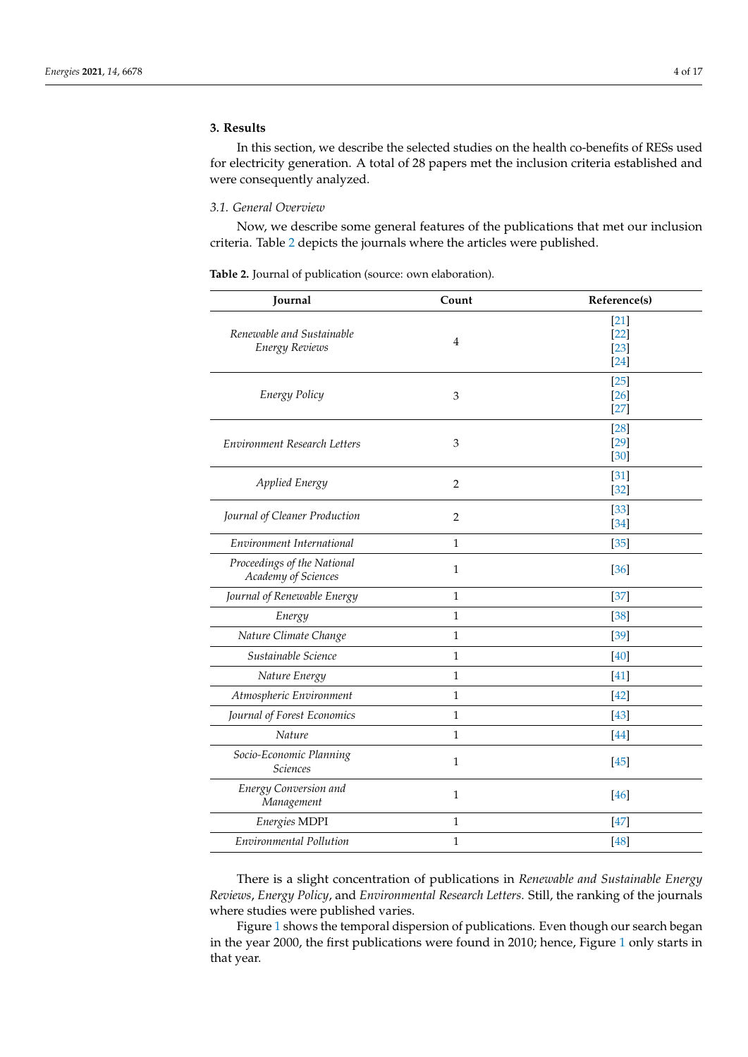# <span id="page-3-0"></span>**3. Results**

In this section, we describe the selected studies on the health co-benefits of RESs used for electricity generation. A total of 28 papers met the inclusion criteria established and were consequently analyzed.

#### *3.1. General Overview*

Now, we describe some general features of the publications that met our inclusion criteria. Table [2](#page-3-1) depicts the journals where the articles were published.

<span id="page-3-1"></span>**Table 2.** Journal of publication (source: own elaboration).

| Journal                                            | Count          | Reference(s)                         |
|----------------------------------------------------|----------------|--------------------------------------|
| Renewable and Sustainable<br>Energy Reviews        | $\overline{4}$ | $[21]$<br>$[22]$<br>$[23]$<br>$[24]$ |
| Energy Policy                                      | 3              | $[25]$<br>$[26]$<br>$[27]$           |
| Environment Research Letters                       | 3              | $[28]$<br>$[29]$<br>$[30]$           |
| Applied Energy                                     | $\overline{2}$ | [31]<br>$[32]$                       |
| Journal of Cleaner Production                      | $\overline{2}$ | $[33]$<br>$[34]$                     |
| Environment International                          | $\mathbf{1}$   | $[35]$                               |
| Proceedings of the National<br>Academy of Sciences | $\mathbf{1}$   | [36]                                 |
| Journal of Renewable Energy                        | $\mathbf{1}$   | $[37]$                               |
| Energy                                             | $\mathbf{1}$   | $[38]$                               |
| Nature Climate Change                              | $\mathbf{1}$   | $[39]$                               |
| Sustainable Science                                | $\mathbf{1}$   | [40]                                 |
| Nature Energy                                      | $\mathbf{1}$   | $[41]$                               |
| Atmospheric Environment                            | $\mathbf{1}$   | $[42]$                               |
| Journal of Forest Economics                        | $\mathbf{1}$   | $[43]$                               |
| <b>Nature</b>                                      | $\mathbf{1}$   | $[44]$                               |
| Socio-Economic Planning<br><b>Sciences</b>         | 1              | [45]                                 |
| Energy Conversion and<br>Management                | $\mathbf{1}$   | $[46]$                               |
| Energies MDPI                                      | $\mathbf{1}$   | $[47]$                               |
| Environmental Pollution                            | $\mathbf 1$    | $[48]$                               |

There is a slight concentration of publications in *Renewable and Sustainable Energy Reviews*, *Energy Policy*, and *Environmental Research Letters*. Still, the ranking of the journals where studies were published varies.

Figure [1](#page-4-0) shows the temporal dispersion of publications. Even though our search began in the year 2000, the first publications were found in 2010; hence, Figure [1](#page-4-0) only starts in that year.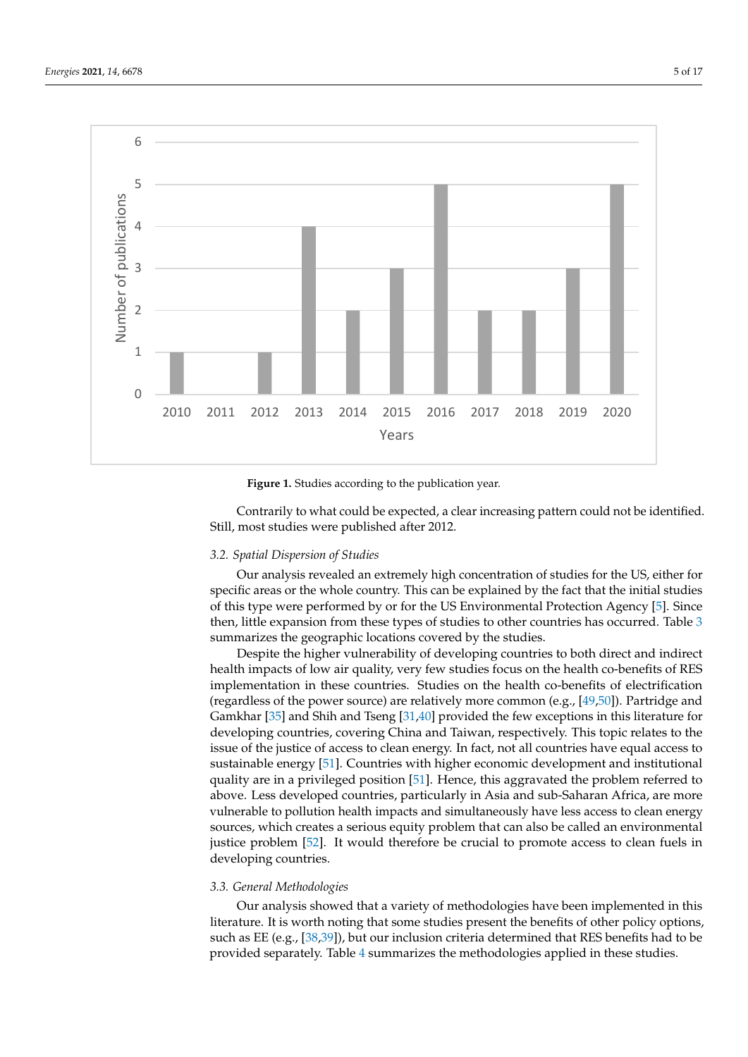<span id="page-4-0"></span>



Still, most studies were published after 2012. Contrarily to what could be expected, a clear increasing pattern could not be identified.

## identified. Still, most studies were published after 2012. *3.2. Spatial Dispersion of Studies*

*3.2. Spatial Dispersion of Studies*  Our analysis revealed an extremely high concentration of studies for the US, either for of this type were performed by or for the US Environmental Protection Agency [5]. Since then, little expansion from these types of studies to other countries has occurred. Table  $3$ specific areas or the whole country. This can be explained by the fact that the initial studies summarizes the geographic locations covered by the studies.

summarizes the geographic locations covered by the studies.<br>Despite the higher vulnerability of developing countries to both direct and indirect health impacts of low air quality, very few studies focus on the health co-benefits of RES implementation in these countries. Studies on the health co-benefits of electrification Galitxian [55] and studied iseng [51,46] provided the rew exceptions in this inerature for<br>developing countries, covering China and Taiwan, respectively. This topic relates to the issue of the justice of access to clean energy. In fact, not all countries have equal access to current and institutional quality are in a privileged position [\[51\]](#page-16-21). Hence, this aggravated the problem referred to above. Less developed countries, particularly in Asia and sub-Saharan Africa, are more vanciable to ponduon neath impacts and simulaticously have less access to clean energy sources, which creates a serious equity problem that can also be called an environmental justice problem [\[52\]](#page-16-22). It would therefore be crucial to promote access to clean fuels in (regardless of the power source) are relatively more common (e.g., [\[49](#page-16-19)[,50\]](#page-16-20)). Partridge and Gamkhar [\[35\]](#page-16-5) and Shih and Tseng [\[31](#page-16-1)[,40\]](#page-16-10) provided the few exceptions in this literature for sustainable energy [\[51\]](#page-16-21). Countries with higher economic development and institutional vulnerable to pollution health impacts and simultaneously have less access to clean energy developing countries.

#### *3.3. General Methodologies*

such as EE (e.g., [38,39]), but our inclusion criteria determined that RES benefits had to be Our analysis showed that a variety of methodologies have been implemented in this literature. It is worth noting that some studies present the benefits of other policy options, provided separately. Table [4](#page-6-0) summarizes the methodologies applied in these studies.

 $\ddot{ }$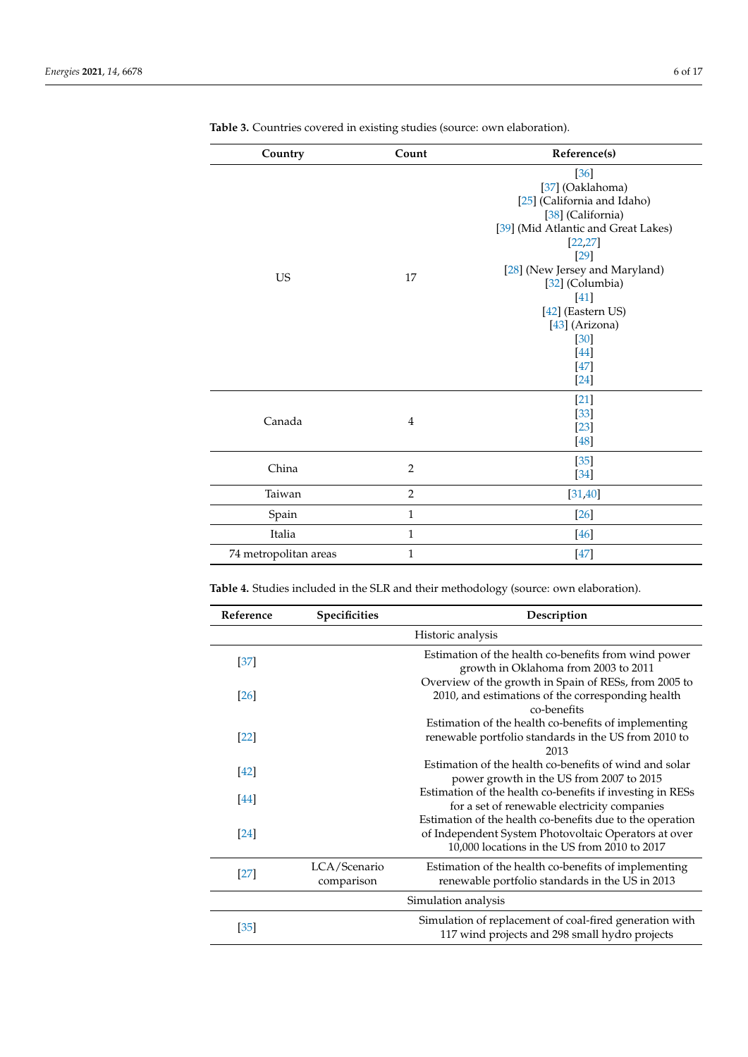| Country               | Count          | Reference(s)                                                                                                                                                                                                                                                                            |
|-----------------------|----------------|-----------------------------------------------------------------------------------------------------------------------------------------------------------------------------------------------------------------------------------------------------------------------------------------|
| <b>US</b>             | 17             | [36]<br>[37] (Oaklahoma)<br>[25] (California and Idaho)<br>[38] (California)<br>[39] (Mid Atlantic and Great Lakes)<br>[22, 27]<br>$[29]$<br>[28] (New Jersey and Maryland)<br>[32] (Columbia)<br>$[41]$<br>[42] (Eastern US)<br>[43] (Arizona)<br>$[30]$<br>$[44]$<br>$[47]$<br>$[24]$ |
| Canada                | $\overline{4}$ | $[21]$<br>$[33]$<br>$[23]$<br>$[48]$                                                                                                                                                                                                                                                    |
| China                 | $\overline{2}$ | $[35]$<br>$[34]$                                                                                                                                                                                                                                                                        |
| Taiwan                | $\overline{2}$ | [31, 40]                                                                                                                                                                                                                                                                                |
| Spain                 | $\mathbf 1$    | $[26]$                                                                                                                                                                                                                                                                                  |
| Italia                | $\mathbf{1}$   | $[46]$                                                                                                                                                                                                                                                                                  |
| 74 metropolitan areas | $\mathbf{1}$   | $[47]$                                                                                                                                                                                                                                                                                  |

<span id="page-5-0"></span>**Table 3.** Countries covered in existing studies (source: own elaboration).

**Table 4.** Studies included in the SLR and their methodology (source: own elaboration).

| Reference         | Specificities              | Description                                                                                                                                                       |
|-------------------|----------------------------|-------------------------------------------------------------------------------------------------------------------------------------------------------------------|
|                   |                            | Historic analysis                                                                                                                                                 |
| $[37]$            |                            | Estimation of the health co-benefits from wind power<br>growth in Oklahoma from 2003 to 2011                                                                      |
| <b>26</b>         |                            | Overview of the growth in Spain of RESs, from 2005 to<br>2010, and estimations of the corresponding health<br>co-benefits                                         |
| <b>22</b>         |                            | Estimation of the health co-benefits of implementing<br>renewable portfolio standards in the US from 2010 to<br>2013                                              |
| $[42]$            |                            | Estimation of the health co-benefits of wind and solar<br>power growth in the US from 2007 to 2015                                                                |
| 44                |                            | Estimation of the health co-benefits if investing in RESs<br>for a set of renewable electricity companies                                                         |
| $[24]$            |                            | Estimation of the health co-benefits due to the operation<br>of Independent System Photovoltaic Operators at over<br>10,000 locations in the US from 2010 to 2017 |
| $[27]$            | LCA/Scenario<br>comparison | Estimation of the health co-benefits of implementing<br>renewable portfolio standards in the US in 2013                                                           |
|                   |                            | Simulation analysis                                                                                                                                               |
| $\left[35\right]$ |                            | Simulation of replacement of coal-fired generation with<br>117 wind projects and 298 small hydro projects                                                         |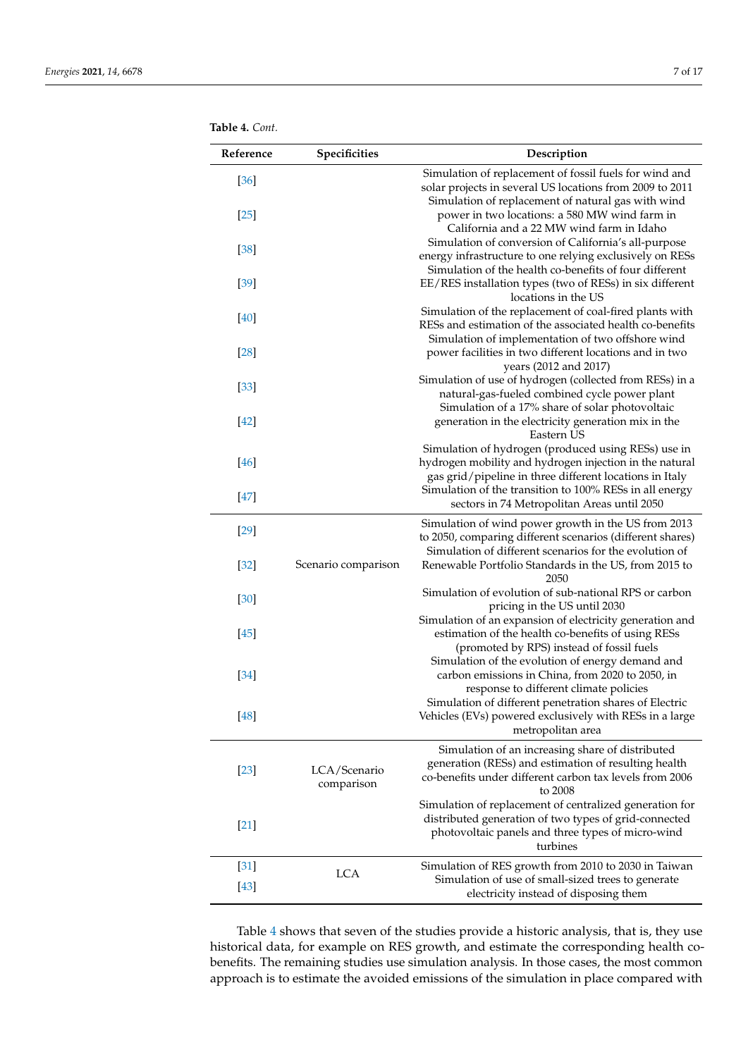<span id="page-6-0"></span>

| Reference | Specificities              | Description                                                                                                                                                                       |
|-----------|----------------------------|-----------------------------------------------------------------------------------------------------------------------------------------------------------------------------------|
| $[36]$    |                            | Simulation of replacement of fossil fuels for wind and<br>solar projects in several US locations from 2009 to 2011                                                                |
| $[25]$    |                            | Simulation of replacement of natural gas with wind<br>power in two locations: a 580 MW wind farm in<br>California and a 22 MW wind farm in Idaho                                  |
| $[38]$    |                            | Simulation of conversion of California's all-purpose<br>energy infrastructure to one relying exclusively on RESs                                                                  |
| $[39]$    |                            | Simulation of the health co-benefits of four different<br>EE/RES installation types (two of RESs) in six different<br>locations in the US                                         |
| [40]      |                            | Simulation of the replacement of coal-fired plants with<br>RESs and estimation of the associated health co-benefits                                                               |
| $[28]$    |                            | Simulation of implementation of two offshore wind<br>power facilities in two different locations and in two<br>years (2012 and 2017)                                              |
| $[33]$    |                            | Simulation of use of hydrogen (collected from RESs) in a<br>natural-gas-fueled combined cycle power plant                                                                         |
| $[42]$    |                            | Simulation of a 17% share of solar photovoltaic<br>generation in the electricity generation mix in the<br>Eastern US                                                              |
| [46]      |                            | Simulation of hydrogen (produced using RESs) use in<br>hydrogen mobility and hydrogen injection in the natural<br>gas grid/pipeline in three different locations in Italy         |
| $[47]$    |                            | Simulation of the transition to 100% RESs in all energy<br>sectors in 74 Metropolitan Areas until 2050                                                                            |
| $[29]$    |                            | Simulation of wind power growth in the US from 2013<br>to 2050, comparing different scenarios (different shares)                                                                  |
| $[32]$    | Scenario comparison        | Simulation of different scenarios for the evolution of<br>Renewable Portfolio Standards in the US, from 2015 to<br>2050                                                           |
| $[30]$    |                            | Simulation of evolution of sub-national RPS or carbon<br>pricing in the US until 2030                                                                                             |
| $[45]$    |                            | Simulation of an expansion of electricity generation and<br>estimation of the health co-benefits of using RESs<br>(promoted by RPS) instead of fossil fuels                       |
| $[34]$    |                            | Simulation of the evolution of energy demand and<br>carbon emissions in China, from 2020 to 2050, in<br>response to different climate policies                                    |
| $[48]$    |                            | Simulation of different penetration shares of Electric<br>Vehicles (EVs) powered exclusively with RESs in a large<br>metropolitan area                                            |
| $[23]$    | LCA/Scenario<br>comparison | Simulation of an increasing share of distributed<br>generation (RESs) and estimation of resulting health<br>co-benefits under different carbon tax levels from 2006<br>to 2008    |
| $[21]$    |                            | Simulation of replacement of centralized generation for<br>distributed generation of two types of grid-connected<br>photovoltaic panels and three types of micro-wind<br>turbines |
| $[31]$    | <b>LCA</b>                 | Simulation of RES growth from 2010 to 2030 in Taiwan                                                                                                                              |
| $[43]$    |                            | Simulation of use of small-sized trees to generate<br>electricity instead of disposing them                                                                                       |

Table [4](#page-6-0) shows that seven of the studies provide a historic analysis, that is, they use historical data, for example on RES growth, and estimate the corresponding health cobenefits. The remaining studies use simulation analysis. In those cases, the most common approach is to estimate the avoided emissions of the simulation in place compared with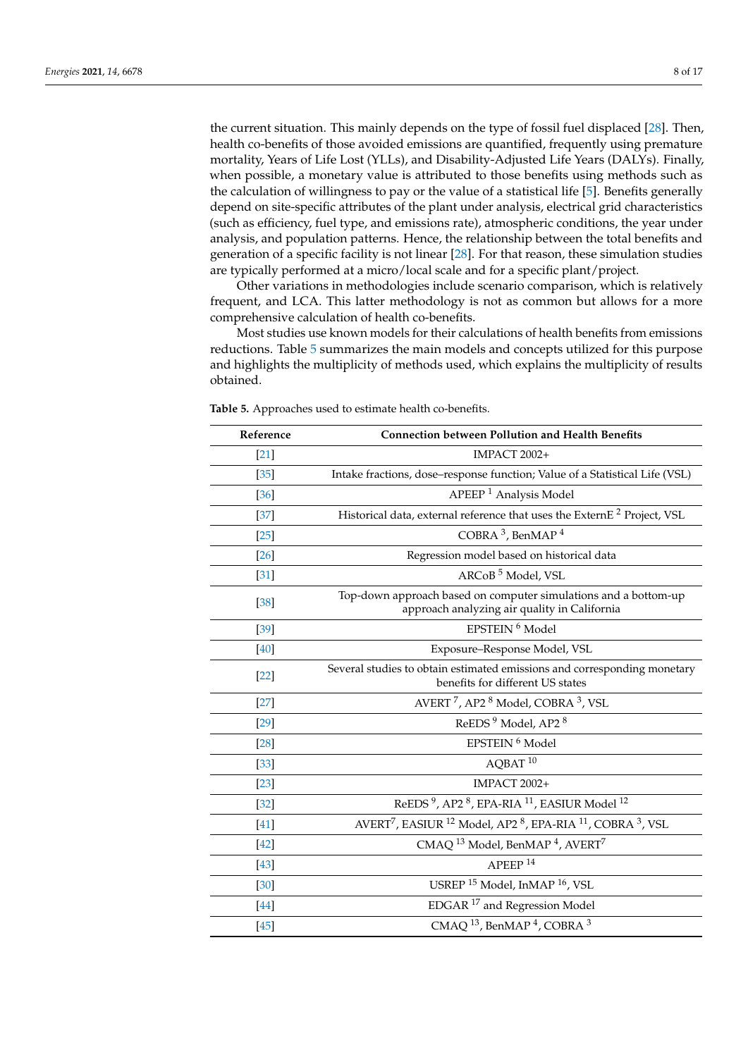the current situation. This mainly depends on the type of fossil fuel displaced [\[28\]](#page-15-19). Then, health co-benefits of those avoided emissions are quantified, frequently using premature mortality, Years of Life Lost (YLLs), and Disability-Adjusted Life Years (DALYs). Finally, when possible, a monetary value is attributed to those benefits using methods such as the calculation of willingness to pay or the value of a statistical life [\[5\]](#page-14-4). Benefits generally depend on site-specific attributes of the plant under analysis, electrical grid characteristics (such as efficiency, fuel type, and emissions rate), atmospheric conditions, the year under analysis, and population patterns. Hence, the relationship between the total benefits and generation of a specific facility is not linear [\[28\]](#page-15-19). For that reason, these simulation studies are typically performed at a micro/local scale and for a specific plant/project.

Other variations in methodologies include scenario comparison, which is relatively frequent, and LCA. This latter methodology is not as common but allows for a more comprehensive calculation of health co-benefits.

Most studies use known models for their calculations of health benefits from emissions reductions. Table [5](#page-8-0) summarizes the main models and concepts utilized for this purpose and highlights the multiplicity of methods used, which explains the multiplicity of results obtained.

| Reference | <b>Connection between Pollution and Health Benefits</b>                                                              |  |  |
|-----------|----------------------------------------------------------------------------------------------------------------------|--|--|
| $[21]$    | <b>IMPACT 2002+</b>                                                                                                  |  |  |
| $[35]$    | Intake fractions, dose-response function; Value of a Statistical Life (VSL)                                          |  |  |
| $[36]$    | APEEP <sup>1</sup> Analysis Model                                                                                    |  |  |
| $[37]$    | Historical data, external reference that uses the ExternE <sup>2</sup> Project, VSL                                  |  |  |
| $[25]$    | COBRA 3, BenMAP 4                                                                                                    |  |  |
| $[26]$    | Regression model based on historical data                                                                            |  |  |
| $[31]$    | ARCoB <sup>5</sup> Model, VSL                                                                                        |  |  |
| $[38]$    | Top-down approach based on computer simulations and a bottom-up<br>approach analyzing air quality in California      |  |  |
| $[39]$    | EPSTEIN <sup>6</sup> Model                                                                                           |  |  |
| [40]      | Exposure-Response Model, VSL                                                                                         |  |  |
| $[22]$    | Several studies to obtain estimated emissions and corresponding monetary<br>benefits for different US states         |  |  |
| $[27]$    | AVERT <sup>7</sup> , AP2 <sup>8</sup> Model, COBRA <sup>3</sup> , VSL                                                |  |  |
| $[29]$    | ReEDS <sup>9</sup> Model, AP2 <sup>8</sup>                                                                           |  |  |
| $[28]$    | EPSTEIN <sup>6</sup> Model                                                                                           |  |  |
| $[33]$    | $AOBAT$ <sup>10</sup>                                                                                                |  |  |
| $[23]$    | <b>IMPACT 2002+</b>                                                                                                  |  |  |
| $[32]$    | ReEDS <sup>9</sup> , AP2 <sup>8</sup> , EPA-RIA <sup>11</sup> , EASIUR Model <sup>12</sup>                           |  |  |
| $[41]$    | AVERT <sup>7</sup> , EASIUR <sup>12</sup> Model, AP2 <sup>8</sup> , EPA-RIA <sup>11</sup> , COBRA <sup>3</sup> , VSL |  |  |
| [42]      | CMAQ <sup>13</sup> Model, BenMAP <sup>4</sup> , AVERT <sup>7</sup>                                                   |  |  |
| $[43]$    | APEEP <sup>14</sup>                                                                                                  |  |  |
| $[30]$    | USREP <sup>15</sup> Model, InMAP <sup>16</sup> , VSL                                                                 |  |  |
| [44]      | EDGAR <sup>17</sup> and Regression Model                                                                             |  |  |
| $[45]$    | CMAQ <sup>13</sup> , BenMAP <sup>4</sup> , COBRA <sup>3</sup>                                                        |  |  |

**Table 5.** Approaches used to estimate health co-benefits.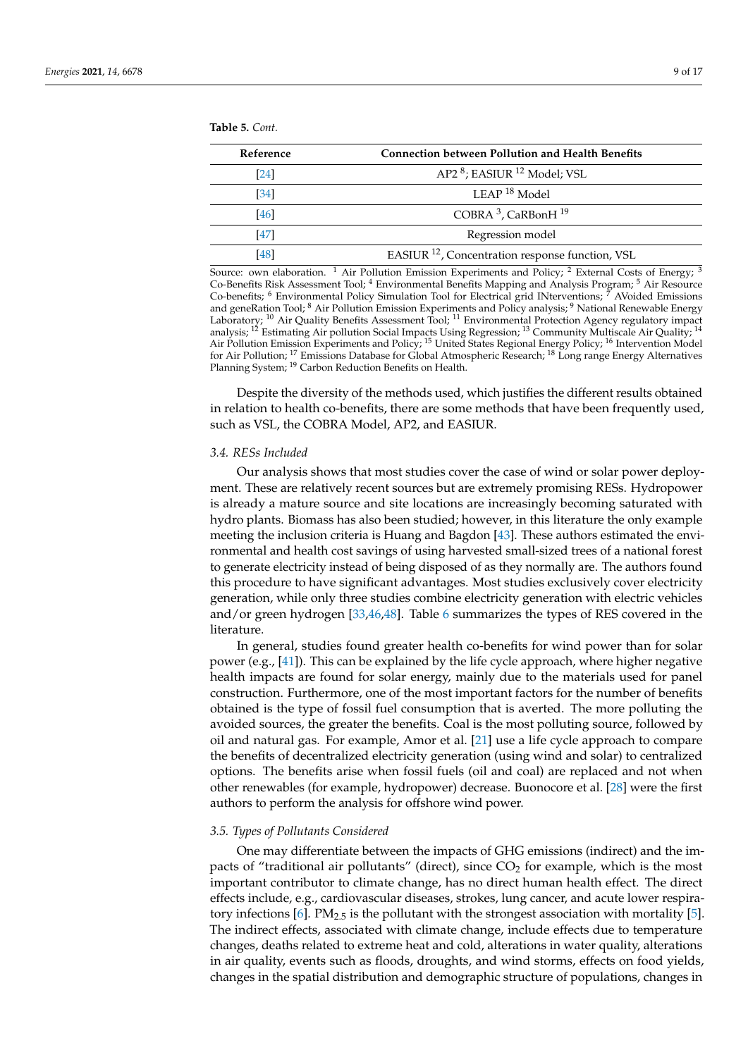<span id="page-8-0"></span>**Table 5.** *Cont.*

| Reference | <b>Connection between Pollution and Health Benefits</b>     |
|-----------|-------------------------------------------------------------|
| [24]      | AP2 <sup>8</sup> ; EASIUR <sup>12</sup> Model; VSL          |
| [34]      | $LEAP18$ Model                                              |
| [46]      | COBRA <sup>3</sup> , CaRBonH <sup>19</sup>                  |
| [47]      | Regression model                                            |
| [48]      | EASIUR <sup>12</sup> , Concentration response function, VSL |

Source: own elaboration. <sup>1</sup> Air Pollution Emission Experiments and Policy; <sup>2</sup> External Costs of Energy; <sup>3</sup> Co-Benefits Risk Assessment Tool; <sup>4</sup> Environmental Benefits Mapping and Analysis Program; <sup>5</sup> Air Resource Co-benefits; <sup>6</sup> Environmental Policy Simulation Tool for Electrical grid INterventions; <sup>7</sup> AVoided Emissions and geneRation Tool; <sup>8</sup> Air Pollution Emission Experiments and Policy analysis; <sup>9</sup> National Renewable Energy Laboratory; <sup>10</sup> Air Quality Benefits Assessment Tool; <sup>11</sup> Environmental Protection Agency regulatory impact analysis; <sup>12</sup> Estimating Air pollution Social Impacts Using Regression; <sup>13</sup> Community Multiscale Air Quality; <sup>14</sup> Air Pollution Emission Experiments and Policy; <sup>15</sup> United States Regional Energy Policy; <sup>16</sup> Intervention Model for Air Pollution; <sup>17</sup> Emissions Database for Global Atmospheric Research; <sup>18</sup> Long range Energy Alternatives Planning System; <sup>19</sup> Carbon Reduction Benefits on Health.

Despite the diversity of the methods used, which justifies the different results obtained in relation to health co-benefits, there are some methods that have been frequently used, such as VSL, the COBRA Model, AP2, and EASIUR.

#### *3.4. RESs Included*

Our analysis shows that most studies cover the case of wind or solar power deployment. These are relatively recent sources but are extremely promising RESs. Hydropower is already a mature source and site locations are increasingly becoming saturated with hydro plants. Biomass has also been studied; however, in this literature the only example meeting the inclusion criteria is Huang and Bagdon [\[43\]](#page-16-13). These authors estimated the environmental and health cost savings of using harvested small-sized trees of a national forest to generate electricity instead of being disposed of as they normally are. The authors found this procedure to have significant advantages. Most studies exclusively cover electricity generation, while only three studies combine electricity generation with electric vehicles and/or green hydrogen [\[33](#page-16-3)[,46](#page-16-16)[,48\]](#page-16-18). Table [6](#page-9-0) summarizes the types of RES covered in the literature.

In general, studies found greater health co-benefits for wind power than for solar power (e.g., [\[41\]](#page-16-11)). This can be explained by the life cycle approach, where higher negative health impacts are found for solar energy, mainly due to the materials used for panel construction. Furthermore, one of the most important factors for the number of benefits obtained is the type of fossil fuel consumption that is averted. The more polluting the avoided sources, the greater the benefits. Coal is the most polluting source, followed by oil and natural gas. For example, Amor et al. [\[21\]](#page-15-12) use a life cycle approach to compare the benefits of decentralized electricity generation (using wind and solar) to centralized options. The benefits arise when fossil fuels (oil and coal) are replaced and not when other renewables (for example, hydropower) decrease. Buonocore et al. [\[28\]](#page-15-19) were the first authors to perform the analysis for offshore wind power.

#### *3.5. Types of Pollutants Considered*

One may differentiate between the impacts of GHG emissions (indirect) and the impacts of "traditional air pollutants" (direct), since  $CO<sub>2</sub>$  for example, which is the most important contributor to climate change, has no direct human health effect. The direct effects include, e.g., cardiovascular diseases, strokes, lung cancer, and acute lower respira-tory infections [\[6\]](#page-14-5). PM<sub>2.5</sub> is the pollutant with the strongest association with mortality [\[5\]](#page-14-4). The indirect effects, associated with climate change, include effects due to temperature changes, deaths related to extreme heat and cold, alterations in water quality, alterations in air quality, events such as floods, droughts, and wind storms, effects on food yields, changes in the spatial distribution and demographic structure of populations, changes in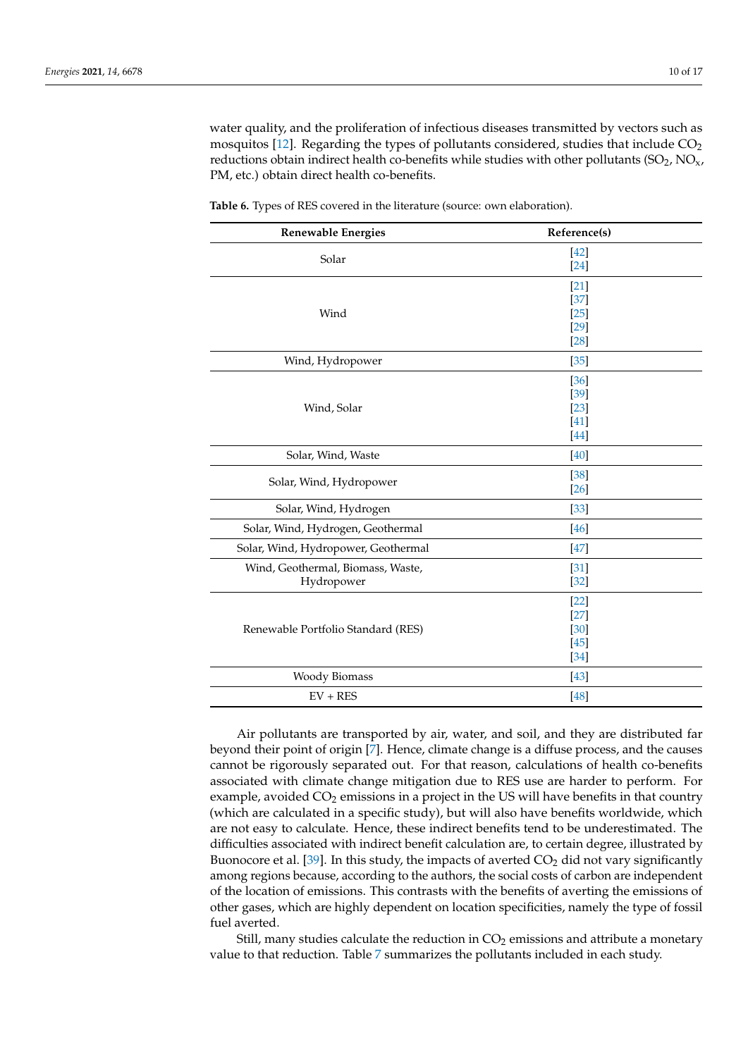water quality, and the proliferation of infectious diseases transmitted by vectors such as mosquitos [\[12\]](#page-15-4). Regarding the types of pollutants considered, studies that include  $CO<sub>2</sub>$ reductions obtain indirect health co-benefits while studies with other pollutants  $(SO_2, NO_x,$ PM, etc.) obtain direct health co-benefits.

| <b>Renewable Energies</b>                       | Reference(s)                                   |
|-------------------------------------------------|------------------------------------------------|
| Solar                                           | $[42]$<br>$[24]$                               |
| Wind                                            | $[21]$<br>$[37]$<br>$[25]$<br>$[29]$<br>$[28]$ |
| Wind, Hydropower                                | $[35]$                                         |
| Wind, Solar                                     | [36]<br>$[39]$<br>$[23]$<br>$[41]$<br>$[44]$   |
| Solar, Wind, Waste                              | [40]                                           |
| Solar, Wind, Hydropower                         | $[38]$<br>$[26]$                               |
| Solar, Wind, Hydrogen                           | $[33]$                                         |
| Solar, Wind, Hydrogen, Geothermal               | [46]                                           |
| Solar, Wind, Hydropower, Geothermal             | $[47]$                                         |
| Wind, Geothermal, Biomass, Waste,<br>Hydropower | $[31]$<br>$[32]$                               |
| Renewable Portfolio Standard (RES)              | $[22]$<br>$[27]$<br>$[30]$<br>$[45]$<br>$[34]$ |
| <b>Woody Biomass</b>                            | $[43]$                                         |
| $EV + RES$                                      | [48]                                           |

<span id="page-9-0"></span>**Table 6.** Types of RES covered in the literature (source: own elaboration).

Air pollutants are transported by air, water, and soil, and they are distributed far beyond their point of origin [\[7\]](#page-15-0). Hence, climate change is a diffuse process, and the causes cannot be rigorously separated out. For that reason, calculations of health co-benefits associated with climate change mitigation due to RES use are harder to perform. For example, avoided  $CO<sub>2</sub>$  emissions in a project in the US will have benefits in that country (which are calculated in a specific study), but will also have benefits worldwide, which are not easy to calculate. Hence, these indirect benefits tend to be underestimated. The difficulties associated with indirect benefit calculation are, to certain degree, illustrated by Buonocore et al. [\[39\]](#page-16-9). In this study, the impacts of averted  $CO<sub>2</sub>$  did not vary significantly among regions because, according to the authors, the social costs of carbon are independent of the location of emissions. This contrasts with the benefits of averting the emissions of other gases, which are highly dependent on location specificities, namely the type of fossil fuel averted.

Still, many studies calculate the reduction in  $CO<sub>2</sub>$  emissions and attribute a monetary value to that reduction. Table [7](#page-10-0) summarizes the pollutants included in each study.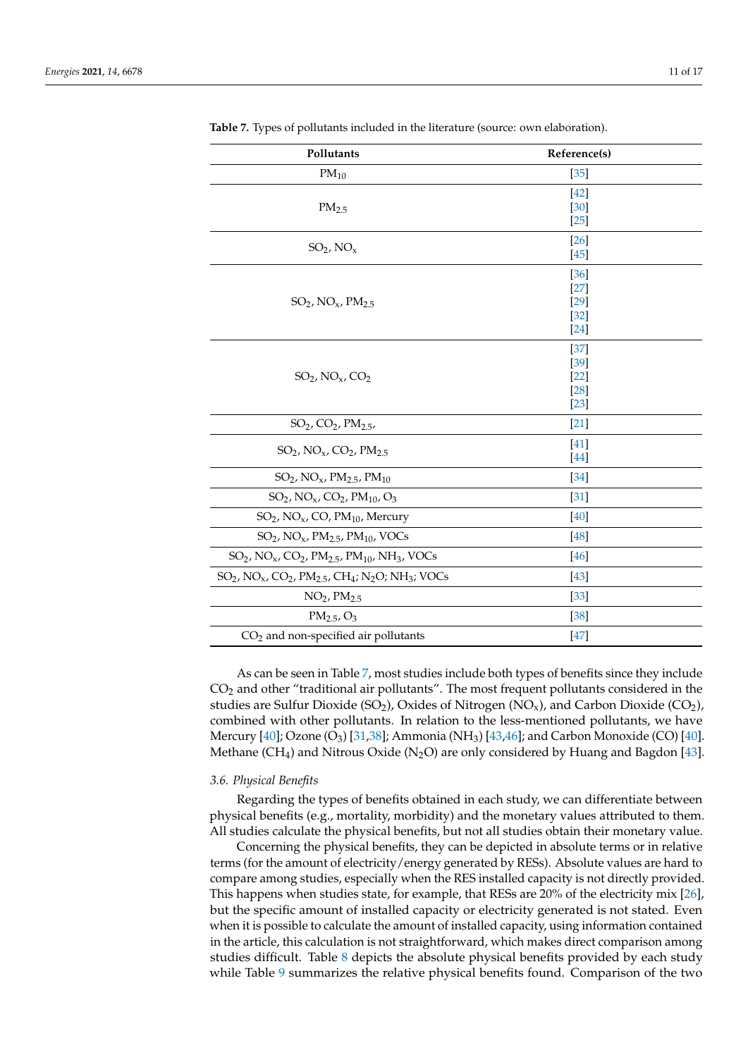| Pollutants                                                                                                                  | Reference(s)                                   |
|-----------------------------------------------------------------------------------------------------------------------------|------------------------------------------------|
| $PM_{10}$                                                                                                                   | $[35]$                                         |
| PM <sub>2.5</sub>                                                                                                           | $[42]$<br>$[30]$<br>$[25]$                     |
| $SO_2$ , $NOx$                                                                                                              | $[26]$<br>$[45]$                               |
| $SO_2$ , NO <sub>x</sub> , PM <sub>2.5</sub>                                                                                | [36]<br>$[27]$<br>$[29]$<br>$[32]$<br>$[24]$   |
| $SO_2$ , NO <sub>x</sub> , CO <sub>2</sub>                                                                                  | $[37]$<br>$[39]$<br>$[22]$<br>$[28]$<br>$[23]$ |
| $SO_2$ , $CO_2$ , $PM_{2.5}$ ,                                                                                              | $[21]$                                         |
| $SO_2$ , NO <sub>x</sub> , CO <sub>2</sub> , PM <sub>2.5</sub>                                                              | [41]<br>[44]                                   |
| $SO_2$ , NO <sub>x</sub> , PM <sub>2</sub> <sub>5</sub> , PM <sub>10</sub>                                                  | [34]                                           |
| $SO_2$ , NO <sub>x</sub> , CO <sub>2</sub> , PM <sub>10</sub> , O <sub>3</sub>                                              | [31]                                           |
| SO <sub>2</sub> , NO <sub>x</sub> , CO, PM <sub>10</sub> , Mercury                                                          | [40]                                           |
| $SO_2$ , NO <sub>x</sub> , PM <sub>2.5</sub> , PM <sub>10</sub> , VOCs                                                      | $[48]$                                         |
| $SO_2$ , NO <sub>x</sub> , CO <sub>2</sub> , PM <sub>2.5</sub> , PM <sub>10</sub> , NH <sub>3</sub> , VOCs                  | [46]                                           |
| $SO_2$ , NO <sub>x</sub> , CO <sub>2</sub> , PM <sub>2.5</sub> , CH <sub>4</sub> ; N <sub>2</sub> O; NH <sub>3</sub> ; VOCs | $[43]$                                         |
| $NO2$ , $PM2.5$                                                                                                             | $[33]$                                         |
| $PM_{2.5}$ , O <sub>3</sub>                                                                                                 | $[38]$                                         |
| CO <sub>2</sub> and non-specified air pollutants                                                                            | $[47]$                                         |

<span id="page-10-0"></span>**Table 7.** Types of pollutants included in the literature (source: own elaboration).

As can be seen in Table [7,](#page-10-0) most studies include both types of benefits since they include CO<sup>2</sup> and other "traditional air pollutants". The most frequent pollutants considered in the studies are Sulfur Dioxide (SO<sub>2</sub>), Oxides of Nitrogen (NO<sub>x</sub>), and Carbon Dioxide (CO<sub>2</sub>), combined with other pollutants. In relation to the less-mentioned pollutants, we have Mercury  $[40]$ ; Ozone  $(O_3)$  [\[31,](#page-16-1)[38\]](#page-16-8); Ammonia (NH<sub>3</sub>) [\[43](#page-16-13)[,46\]](#page-16-16); and Carbon Monoxide (CO) [40]. Methane (CH<sub>4</sub>) and Nitrous Oxide (N<sub>2</sub>O) are only considered by Huang and Bagdon [\[43\]](#page-16-13).

## *3.6. Physical Benefits*

Regarding the types of benefits obtained in each study, we can differentiate between physical benefits (e.g., mortality, morbidity) and the monetary values attributed to them. All studies calculate the physical benefits, but not all studies obtain their monetary value.

Concerning the physical benefits, they can be depicted in absolute terms or in relative terms (for the amount of electricity/energy generated by RESs). Absolute values are hard to compare among studies, especially when the RES installed capacity is not directly provided. This happens when studies state, for example, that RESs are 20% of the electricity mix [\[26\]](#page-15-17), but the specific amount of installed capacity or electricity generated is not stated. Even when it is possible to calculate the amount of installed capacity, using information contained in the article, this calculation is not straightforward, which makes direct comparison among studies difficult. Table [8](#page-11-0) depicts the absolute physical benefits provided by each study while Table [9](#page-11-1) summarizes the relative physical benefits found. Comparison of the two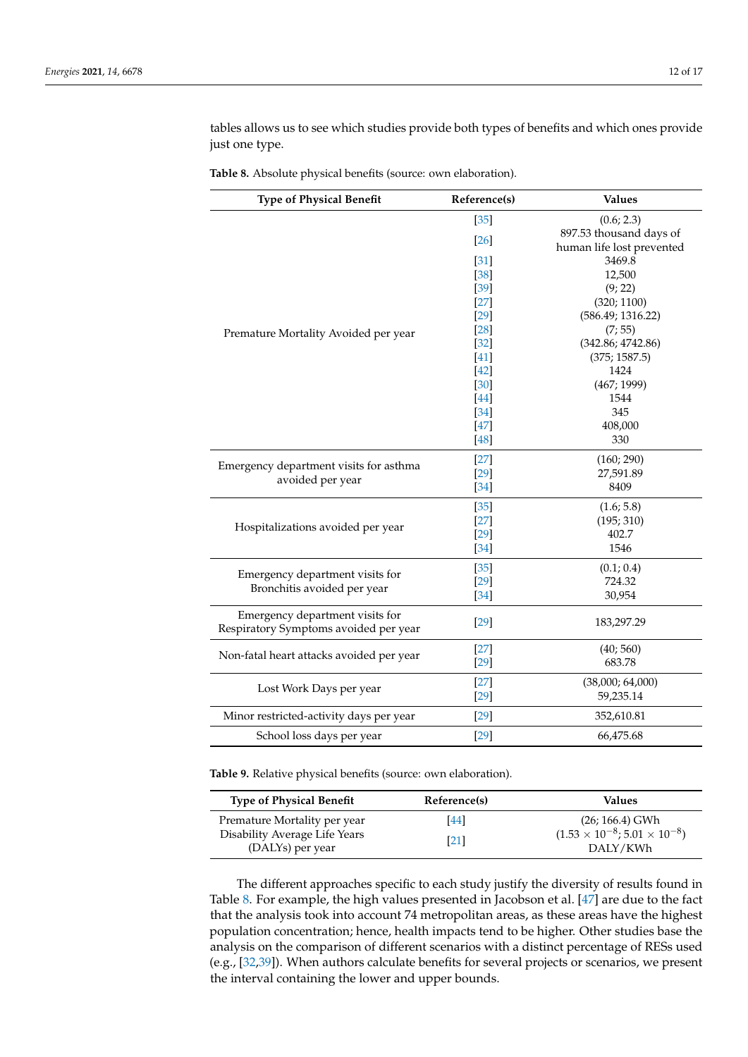tables allows us to see which studies provide both types of benefits and which ones provide just one type.

<span id="page-11-0"></span>

| Table 8. Absolute physical benefits (source: own elaboration). |  |  |  |  |  |
|----------------------------------------------------------------|--|--|--|--|--|
|----------------------------------------------------------------|--|--|--|--|--|

| $[35]$<br>(0.6; 2.3)<br>897.53 thousand days of<br>$[26]$<br>human life lost prevented<br>3469.8<br>$[31]$<br>12,500<br>$[38]$<br>$[39]$<br>(9; 22)<br>$[27]$<br>(320; 1100)<br>$[29]$<br>(586.49; 1316.22)<br>$[28]$<br>(7; 55)<br>Premature Mortality Avoided per year<br>(342.86; 4742.86)<br>$[32]$<br>$[41]$<br>(375; 1587.5)<br>$[42]$<br>1424<br>$[30]$<br>(467; 1999)<br>$[44]$<br>1544<br>$[34]$<br>345<br>$[47]$<br>408,000<br>$[48]$<br>330<br>$[27]$<br>(160; 290)<br>Emergency department visits for asthma<br>$[29]$<br>27,591.89<br>avoided per year<br>$[34]$<br>8409<br>$[35]$<br>(1.6; 5.8)<br>$[27]$<br>(195; 310)<br>Hospitalizations avoided per year<br>$[29]$<br>402.7<br>$[34]$<br>1546<br>$[35]$<br>(0.1; 0.4)<br>Emergency department visits for<br>$[29]$<br>724.32<br>Bronchitis avoided per year<br>$[34]$<br>30,954<br>Emergency department visits for<br>$[29]$<br>183,297.29<br>Respiratory Symptoms avoided per year<br>$[27]$<br>(40; 560)<br>Non-fatal heart attacks avoided per year<br>$[29]$<br>683.78<br>$[27]$<br>(38,000; 64,000)<br>Lost Work Days per year<br>$[29]$<br>59,235.14<br>$[29]$<br>Minor restricted-activity days per year<br>352,610.81<br>School loss days per year<br>$[29]$<br>66,475.68 | <b>Type of Physical Benefit</b> | Reference(s) | <b>Values</b> |
|-----------------------------------------------------------------------------------------------------------------------------------------------------------------------------------------------------------------------------------------------------------------------------------------------------------------------------------------------------------------------------------------------------------------------------------------------------------------------------------------------------------------------------------------------------------------------------------------------------------------------------------------------------------------------------------------------------------------------------------------------------------------------------------------------------------------------------------------------------------------------------------------------------------------------------------------------------------------------------------------------------------------------------------------------------------------------------------------------------------------------------------------------------------------------------------------------------------------------------------------------------|---------------------------------|--------------|---------------|
|                                                                                                                                                                                                                                                                                                                                                                                                                                                                                                                                                                                                                                                                                                                                                                                                                                                                                                                                                                                                                                                                                                                                                                                                                                                     |                                 |              |               |
|                                                                                                                                                                                                                                                                                                                                                                                                                                                                                                                                                                                                                                                                                                                                                                                                                                                                                                                                                                                                                                                                                                                                                                                                                                                     |                                 |              |               |
|                                                                                                                                                                                                                                                                                                                                                                                                                                                                                                                                                                                                                                                                                                                                                                                                                                                                                                                                                                                                                                                                                                                                                                                                                                                     |                                 |              |               |
|                                                                                                                                                                                                                                                                                                                                                                                                                                                                                                                                                                                                                                                                                                                                                                                                                                                                                                                                                                                                                                                                                                                                                                                                                                                     |                                 |              |               |
|                                                                                                                                                                                                                                                                                                                                                                                                                                                                                                                                                                                                                                                                                                                                                                                                                                                                                                                                                                                                                                                                                                                                                                                                                                                     |                                 |              |               |
|                                                                                                                                                                                                                                                                                                                                                                                                                                                                                                                                                                                                                                                                                                                                                                                                                                                                                                                                                                                                                                                                                                                                                                                                                                                     |                                 |              |               |
|                                                                                                                                                                                                                                                                                                                                                                                                                                                                                                                                                                                                                                                                                                                                                                                                                                                                                                                                                                                                                                                                                                                                                                                                                                                     |                                 |              |               |
|                                                                                                                                                                                                                                                                                                                                                                                                                                                                                                                                                                                                                                                                                                                                                                                                                                                                                                                                                                                                                                                                                                                                                                                                                                                     |                                 |              |               |
|                                                                                                                                                                                                                                                                                                                                                                                                                                                                                                                                                                                                                                                                                                                                                                                                                                                                                                                                                                                                                                                                                                                                                                                                                                                     |                                 |              |               |
|                                                                                                                                                                                                                                                                                                                                                                                                                                                                                                                                                                                                                                                                                                                                                                                                                                                                                                                                                                                                                                                                                                                                                                                                                                                     |                                 |              |               |
|                                                                                                                                                                                                                                                                                                                                                                                                                                                                                                                                                                                                                                                                                                                                                                                                                                                                                                                                                                                                                                                                                                                                                                                                                                                     |                                 |              |               |
|                                                                                                                                                                                                                                                                                                                                                                                                                                                                                                                                                                                                                                                                                                                                                                                                                                                                                                                                                                                                                                                                                                                                                                                                                                                     |                                 |              |               |
|                                                                                                                                                                                                                                                                                                                                                                                                                                                                                                                                                                                                                                                                                                                                                                                                                                                                                                                                                                                                                                                                                                                                                                                                                                                     |                                 |              |               |
|                                                                                                                                                                                                                                                                                                                                                                                                                                                                                                                                                                                                                                                                                                                                                                                                                                                                                                                                                                                                                                                                                                                                                                                                                                                     |                                 |              |               |
|                                                                                                                                                                                                                                                                                                                                                                                                                                                                                                                                                                                                                                                                                                                                                                                                                                                                                                                                                                                                                                                                                                                                                                                                                                                     |                                 |              |               |
|                                                                                                                                                                                                                                                                                                                                                                                                                                                                                                                                                                                                                                                                                                                                                                                                                                                                                                                                                                                                                                                                                                                                                                                                                                                     |                                 |              |               |
|                                                                                                                                                                                                                                                                                                                                                                                                                                                                                                                                                                                                                                                                                                                                                                                                                                                                                                                                                                                                                                                                                                                                                                                                                                                     |                                 |              |               |
|                                                                                                                                                                                                                                                                                                                                                                                                                                                                                                                                                                                                                                                                                                                                                                                                                                                                                                                                                                                                                                                                                                                                                                                                                                                     |                                 |              |               |
|                                                                                                                                                                                                                                                                                                                                                                                                                                                                                                                                                                                                                                                                                                                                                                                                                                                                                                                                                                                                                                                                                                                                                                                                                                                     |                                 |              |               |
|                                                                                                                                                                                                                                                                                                                                                                                                                                                                                                                                                                                                                                                                                                                                                                                                                                                                                                                                                                                                                                                                                                                                                                                                                                                     |                                 |              |               |
|                                                                                                                                                                                                                                                                                                                                                                                                                                                                                                                                                                                                                                                                                                                                                                                                                                                                                                                                                                                                                                                                                                                                                                                                                                                     |                                 |              |               |
|                                                                                                                                                                                                                                                                                                                                                                                                                                                                                                                                                                                                                                                                                                                                                                                                                                                                                                                                                                                                                                                                                                                                                                                                                                                     |                                 |              |               |
|                                                                                                                                                                                                                                                                                                                                                                                                                                                                                                                                                                                                                                                                                                                                                                                                                                                                                                                                                                                                                                                                                                                                                                                                                                                     |                                 |              |               |
|                                                                                                                                                                                                                                                                                                                                                                                                                                                                                                                                                                                                                                                                                                                                                                                                                                                                                                                                                                                                                                                                                                                                                                                                                                                     |                                 |              |               |
|                                                                                                                                                                                                                                                                                                                                                                                                                                                                                                                                                                                                                                                                                                                                                                                                                                                                                                                                                                                                                                                                                                                                                                                                                                                     |                                 |              |               |
|                                                                                                                                                                                                                                                                                                                                                                                                                                                                                                                                                                                                                                                                                                                                                                                                                                                                                                                                                                                                                                                                                                                                                                                                                                                     |                                 |              |               |
|                                                                                                                                                                                                                                                                                                                                                                                                                                                                                                                                                                                                                                                                                                                                                                                                                                                                                                                                                                                                                                                                                                                                                                                                                                                     |                                 |              |               |
|                                                                                                                                                                                                                                                                                                                                                                                                                                                                                                                                                                                                                                                                                                                                                                                                                                                                                                                                                                                                                                                                                                                                                                                                                                                     |                                 |              |               |
|                                                                                                                                                                                                                                                                                                                                                                                                                                                                                                                                                                                                                                                                                                                                                                                                                                                                                                                                                                                                                                                                                                                                                                                                                                                     |                                 |              |               |
|                                                                                                                                                                                                                                                                                                                                                                                                                                                                                                                                                                                                                                                                                                                                                                                                                                                                                                                                                                                                                                                                                                                                                                                                                                                     |                                 |              |               |
|                                                                                                                                                                                                                                                                                                                                                                                                                                                                                                                                                                                                                                                                                                                                                                                                                                                                                                                                                                                                                                                                                                                                                                                                                                                     |                                 |              |               |
|                                                                                                                                                                                                                                                                                                                                                                                                                                                                                                                                                                                                                                                                                                                                                                                                                                                                                                                                                                                                                                                                                                                                                                                                                                                     |                                 |              |               |
|                                                                                                                                                                                                                                                                                                                                                                                                                                                                                                                                                                                                                                                                                                                                                                                                                                                                                                                                                                                                                                                                                                                                                                                                                                                     |                                 |              |               |

<span id="page-11-1"></span>**Table 9.** Relative physical benefits (source: own elaboration).

| <b>Type of Physical Benefit</b>                                                   | Reference(s) | Values                                                                        |
|-----------------------------------------------------------------------------------|--------------|-------------------------------------------------------------------------------|
| Premature Mortality per year<br>Disability Average Life Years<br>(DALYs) per year | [44]<br>[21] | $(26; 166.4)$ GWh<br>$(1.53 \times 10^{-8}; 5.01 \times 10^{-8})$<br>DALY/KWh |

The different approaches specific to each study justify the diversity of results found in Table [8.](#page-11-0) For example, the high values presented in Jacobson et al. [\[47\]](#page-16-17) are due to the fact that the analysis took into account 74 metropolitan areas, as these areas have the highest population concentration; hence, health impacts tend to be higher. Other studies base the analysis on the comparison of different scenarios with a distinct percentage of RESs used (e.g., [\[32,](#page-16-2)[39\]](#page-16-9)). When authors calculate benefits for several projects or scenarios, we present the interval containing the lower and upper bounds.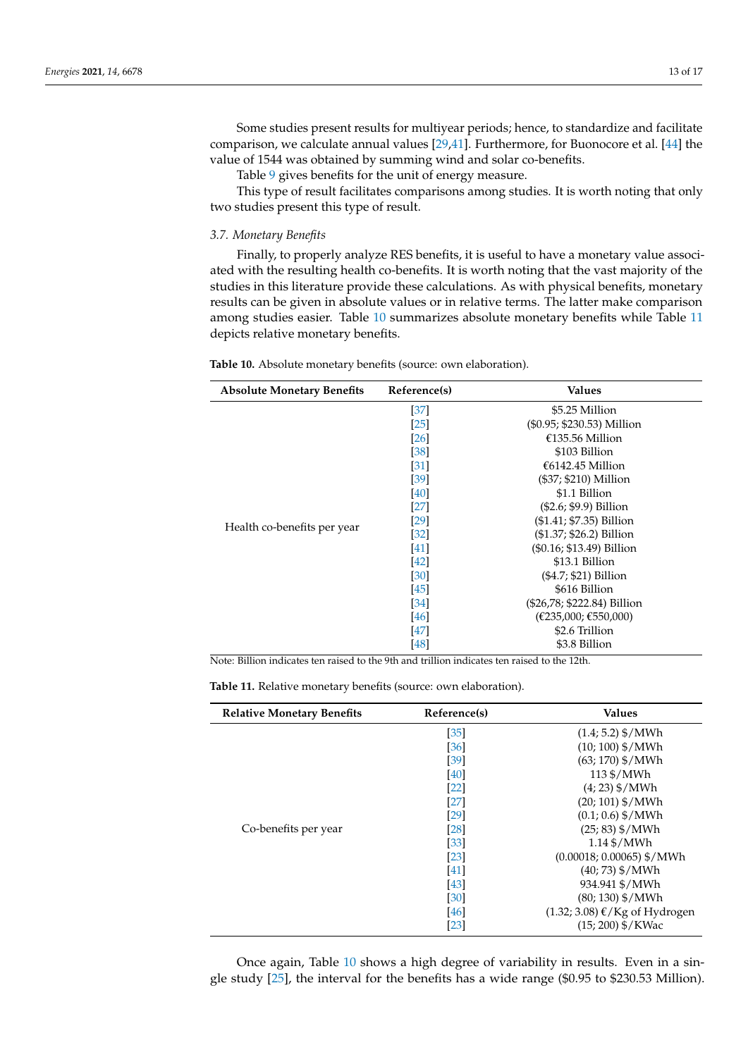Some studies present results for multiyear periods; hence, to standardize and facilitate comparison, we calculate annual values [\[29](#page-15-20)[,41\]](#page-16-11). Furthermore, for Buonocore et al. [\[44\]](#page-16-14) the value of 1544 was obtained by summing wind and solar co-benefits.

Table [9](#page-11-1) gives benefits for the unit of energy measure.

This type of result facilitates comparisons among studies. It is worth noting that only two studies present this type of result.

*3.7. Monetary Benefits*

Finally, to properly analyze RES benefits, it is useful to have a monetary value associated with the resulting health co-benefits. It is worth noting that the vast majority of the studies in this literature provide these calculations. As with physical benefits, monetary results can be given in absolute values or in relative terms. The latter make comparison among studies easier. Table [10](#page-12-0) summarizes absolute monetary benefits while Table [11](#page-12-1) depicts relative monetary benefits.

<span id="page-12-0"></span>

| Table 10. Absolute monetary benefits (source: own elaboration). |  |  |  |  |  |
|-----------------------------------------------------------------|--|--|--|--|--|
|-----------------------------------------------------------------|--|--|--|--|--|

| <b>Absolute Monetary Benefits</b> | Reference(s) | Values                      |
|-----------------------------------|--------------|-----------------------------|
| Health co-benefits per year       | [37]         | \$5.25 Million              |
|                                   | $[25]$       | (\$0.95; \$230.53) Million  |
|                                   | [26]         | €135.56 Million             |
|                                   | $[38]$       | \$103 Billion               |
|                                   | $[31]$       | $€6142.45$ Million          |
|                                   | [39]         | (\$37; \$210) Million       |
|                                   | [40]         | \$1.1 Billion               |
|                                   | $[27]$       | $(\$2.6; \$9.9)$ Billion    |
|                                   | $[29]$       | (\$1.41; \$7.35) Billion    |
|                                   | [32]         | (\$1.37; \$26.2) Billion    |
|                                   | $[41]$       | (\$0.16; \$13.49) Billion   |
|                                   | $[42]$       | \$13.1 Billion              |
|                                   | [30]         | (\$4.7; \$21) Billion       |
|                                   | $[45]$       | \$616 Billion               |
|                                   | [34]         | (\$26,78; \$222.84) Billion |
|                                   | [46]         | (E235,000; E550,000)        |
|                                   | [47]         | \$2.6 Trillion              |
|                                   | [48]         | \$3.8 Billion               |

Note: Billion indicates ten raised to the 9th and trillion indicates ten raised to the 12th.

<span id="page-12-1"></span>**Table 11.** Relative monetary benefits (source: own elaboration).

| <b>Relative Monetary Benefits</b> | Reference(s)       | <b>Values</b>                                        |
|-----------------------------------|--------------------|------------------------------------------------------|
| Co-benefits per year              | [35]               | $(1.4; 5.2)$ \$/MWh                                  |
|                                   | [36]               | $(10; 100)$ \$/MWh                                   |
|                                   | [39]               | $(63; 170)$ \$/MWh                                   |
|                                   | [40]               | 113 \$/MWh                                           |
|                                   | $[22]$             | $(4; 23)$ \$/MWh                                     |
|                                   | $[27]$             | $(20; 101)$ \$/MWh                                   |
|                                   | $[29]$             | $(0.1; 0.6)$ \$/MWh                                  |
|                                   | [28]               | $(25; 83)$ \$/MWh                                    |
|                                   | $[33]$             | $1.14\$ $/MWh$                                       |
|                                   | $\lceil 23 \rceil$ | $(0.00018; 0.00065)$ \$/MWh                          |
|                                   | [41]               | $(40; 73)$ \$/MWh                                    |
|                                   | [43]               | 934.941 \$/MWh                                       |
|                                   | [30]               | $(80; 130)$ \$/MWh                                   |
|                                   | $[46]$             | $(1.32; 3.08)$ $\mathcal{K}/\mathrm{Kg}$ of Hydrogen |
|                                   | [23]               | $(15; 200)$ \$/KWac                                  |

Once again, Table [10](#page-12-0) shows a high degree of variability in results. Even in a single study [\[25\]](#page-15-16), the interval for the benefits has a wide range (\$0.95 to \$230.53 Million).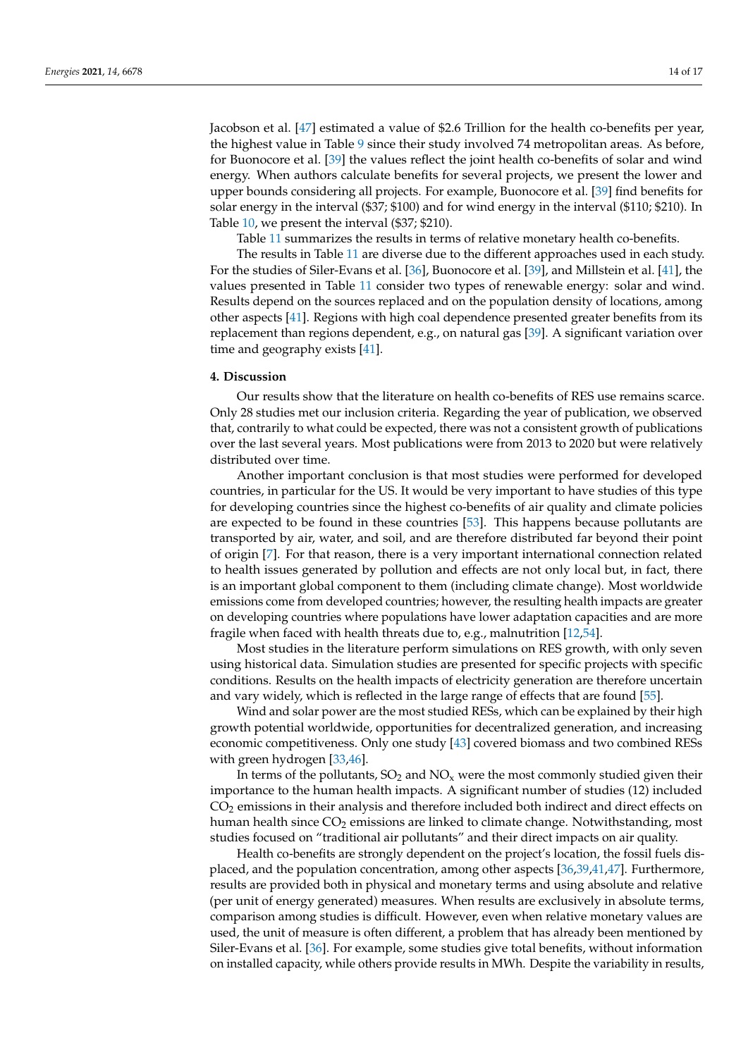Jacobson et al. [\[47\]](#page-16-17) estimated a value of \$2.6 Trillion for the health co-benefits per year, the highest value in Table [9](#page-11-1) since their study involved 74 metropolitan areas. As before, for Buonocore et al. [\[39\]](#page-16-9) the values reflect the joint health co-benefits of solar and wind energy. When authors calculate benefits for several projects, we present the lower and upper bounds considering all projects. For example, Buonocore et al. [\[39\]](#page-16-9) find benefits for solar energy in the interval (\$37; \$100) and for wind energy in the interval (\$110; \$210). In Table [10,](#page-12-0) we present the interval (\$37; \$210).

Table [11](#page-12-1) summarizes the results in terms of relative monetary health co-benefits.

The results in Table [11](#page-12-1) are diverse due to the different approaches used in each study. For the studies of Siler-Evans et al. [\[36\]](#page-16-6), Buonocore et al. [\[39\]](#page-16-9), and Millstein et al. [\[41\]](#page-16-11), the values presented in Table [11](#page-12-1) consider two types of renewable energy: solar and wind. Results depend on the sources replaced and on the population density of locations, among other aspects [\[41\]](#page-16-11). Regions with high coal dependence presented greater benefits from its replacement than regions dependent, e.g., on natural gas [\[39\]](#page-16-9). A significant variation over time and geography exists [\[41\]](#page-16-11).

# <span id="page-13-0"></span>**4. Discussion**

Our results show that the literature on health co-benefits of RES use remains scarce. Only 28 studies met our inclusion criteria. Regarding the year of publication, we observed that, contrarily to what could be expected, there was not a consistent growth of publications over the last several years. Most publications were from 2013 to 2020 but were relatively distributed over time.

Another important conclusion is that most studies were performed for developed countries, in particular for the US. It would be very important to have studies of this type for developing countries since the highest co-benefits of air quality and climate policies are expected to be found in these countries [\[53\]](#page-16-23). This happens because pollutants are transported by air, water, and soil, and are therefore distributed far beyond their point of origin [\[7\]](#page-15-0). For that reason, there is a very important international connection related to health issues generated by pollution and effects are not only local but, in fact, there is an important global component to them (including climate change). Most worldwide emissions come from developed countries; however, the resulting health impacts are greater on developing countries where populations have lower adaptation capacities and are more fragile when faced with health threats due to, e.g., malnutrition [\[12,](#page-15-4)[54\]](#page-16-24).

Most studies in the literature perform simulations on RES growth, with only seven using historical data. Simulation studies are presented for specific projects with specific conditions. Results on the health impacts of electricity generation are therefore uncertain and vary widely, which is reflected in the large range of effects that are found [\[55\]](#page-16-25).

Wind and solar power are the most studied RESs, which can be explained by their high growth potential worldwide, opportunities for decentralized generation, and increasing economic competitiveness. Only one study [\[43\]](#page-16-13) covered biomass and two combined RESs with green hydrogen [\[33,](#page-16-3)[46\]](#page-16-16).

In terms of the pollutants,  $SO_2$  and  $NO_x$  were the most commonly studied given their importance to the human health impacts. A significant number of studies (12) included CO<sub>2</sub> emissions in their analysis and therefore included both indirect and direct effects on human health since CO<sub>2</sub> emissions are linked to climate change. Notwithstanding, most studies focused on "traditional air pollutants" and their direct impacts on air quality.

Health co-benefits are strongly dependent on the project's location, the fossil fuels displaced, and the population concentration, among other aspects [\[36,](#page-16-6)[39](#page-16-9)[,41](#page-16-11)[,47\]](#page-16-17). Furthermore, results are provided both in physical and monetary terms and using absolute and relative (per unit of energy generated) measures. When results are exclusively in absolute terms, comparison among studies is difficult. However, even when relative monetary values are used, the unit of measure is often different, a problem that has already been mentioned by Siler-Evans et al. [\[36\]](#page-16-6). For example, some studies give total benefits, without information on installed capacity, while others provide results in MWh. Despite the variability in results,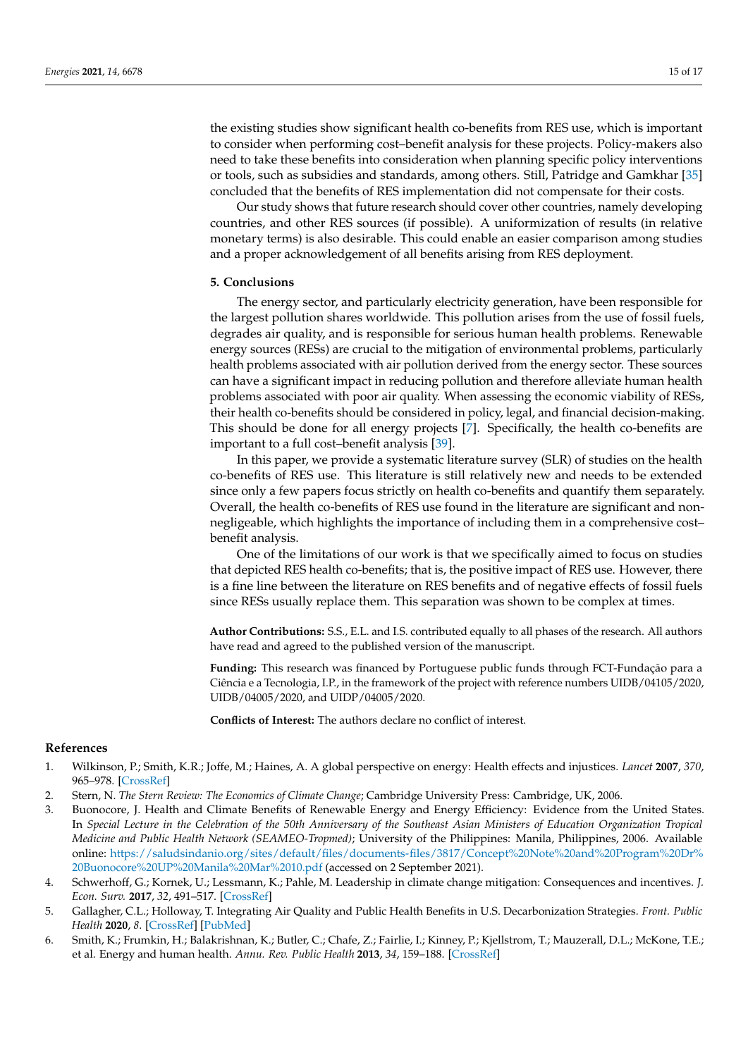the existing studies show significant health co-benefits from RES use, which is important to consider when performing cost–benefit analysis for these projects. Policy-makers also need to take these benefits into consideration when planning specific policy interventions or tools, such as subsidies and standards, among others. Still, Patridge and Gamkhar [\[35\]](#page-16-5) concluded that the benefits of RES implementation did not compensate for their costs.

Our study shows that future research should cover other countries, namely developing countries, and other RES sources (if possible). A uniformization of results (in relative monetary terms) is also desirable. This could enable an easier comparison among studies and a proper acknowledgement of all benefits arising from RES deployment.

## <span id="page-14-6"></span>**5. Conclusions**

The energy sector, and particularly electricity generation, have been responsible for the largest pollution shares worldwide. This pollution arises from the use of fossil fuels, degrades air quality, and is responsible for serious human health problems. Renewable energy sources (RESs) are crucial to the mitigation of environmental problems, particularly health problems associated with air pollution derived from the energy sector. These sources can have a significant impact in reducing pollution and therefore alleviate human health problems associated with poor air quality. When assessing the economic viability of RESs, their health co-benefits should be considered in policy, legal, and financial decision-making. This should be done for all energy projects [\[7\]](#page-15-0). Specifically, the health co-benefits are important to a full cost–benefit analysis [\[39\]](#page-16-9).

In this paper, we provide a systematic literature survey (SLR) of studies on the health co-benefits of RES use. This literature is still relatively new and needs to be extended since only a few papers focus strictly on health co-benefits and quantify them separately. Overall, the health co-benefits of RES use found in the literature are significant and nonnegligeable, which highlights the importance of including them in a comprehensive cost– benefit analysis.

One of the limitations of our work is that we specifically aimed to focus on studies that depicted RES health co-benefits; that is, the positive impact of RES use. However, there is a fine line between the literature on RES benefits and of negative effects of fossil fuels since RESs usually replace them. This separation was shown to be complex at times.

**Author Contributions:** S.S., E.L. and I.S. contributed equally to all phases of the research. All authors have read and agreed to the published version of the manuscript.

**Funding:** This research was financed by Portuguese public funds through FCT-Fundação para a Ciência e a Tecnologia, I.P., in the framework of the project with reference numbers UIDB/04105/2020, UIDB/04005/2020, and UIDP/04005/2020.

**Conflicts of Interest:** The authors declare no conflict of interest.

#### **References**

- <span id="page-14-0"></span>1. Wilkinson, P.; Smith, K.R.; Joffe, M.; Haines, A. A global perspective on energy: Health effects and injustices. *Lancet* **2007**, *370*, 965–978. [\[CrossRef\]](http://doi.org/10.1016/S0140-6736(07)61252-5)
- <span id="page-14-1"></span>2. Stern, N. *The Stern Review: The Economics of Climate Change*; Cambridge University Press: Cambridge, UK, 2006.
- <span id="page-14-2"></span>3. Buonocore, J. Health and Climate Benefits of Renewable Energy and Energy Efficiency: Evidence from the United States. In *Special Lecture in the Celebration of the 50th Anniversary of the Southeast Asian Ministers of Education Organization Tropical Medicine and Public Health Network (SEAMEO-Tropmed)*; University of the Philippines: Manila, Philippines, 2006. Available online: [https://saludsindanio.org/sites/default/files/documents-files/3817/Concept%20Note%20and%20Program%20Dr%](https://saludsindanio.org/sites/default/files/documents-files/3817/Concept%20Note%20and%20Program%20Dr%20Buonocore%20UP%20Manila%20Mar%2010.pdf) [20Buonocore%20UP%20Manila%20Mar%2010.pdf](https://saludsindanio.org/sites/default/files/documents-files/3817/Concept%20Note%20and%20Program%20Dr%20Buonocore%20UP%20Manila%20Mar%2010.pdf) (accessed on 2 September 2021).
- <span id="page-14-3"></span>4. Schwerhoff, G.; Kornek, U.; Lessmann, K.; Pahle, M. Leadership in climate change mitigation: Consequences and incentives. *J. Econ. Surv.* **2017**, *32*, 491–517. [\[CrossRef\]](http://doi.org/10.1111/joes.12203)
- <span id="page-14-4"></span>5. Gallagher, C.L.; Holloway, T. Integrating Air Quality and Public Health Benefits in U.S. Decarbonization Strategies. *Front. Public Health* **2020**, *8*. [\[CrossRef\]](http://doi.org/10.3389/fpubh.2020.563358) [\[PubMed\]](http://www.ncbi.nlm.nih.gov/pubmed/33330312)
- <span id="page-14-5"></span>6. Smith, K.; Frumkin, H.; Balakrishnan, K.; Butler, C.; Chafe, Z.; Fairlie, I.; Kinney, P.; Kjellstrom, T.; Mauzerall, D.L.; McKone, T.E.; et al. Energy and human health. *Annu. Rev. Public Health* **2013**, *34*, 159–188. [\[CrossRef\]](http://doi.org/10.1146/annurev-publhealth-031912-114404)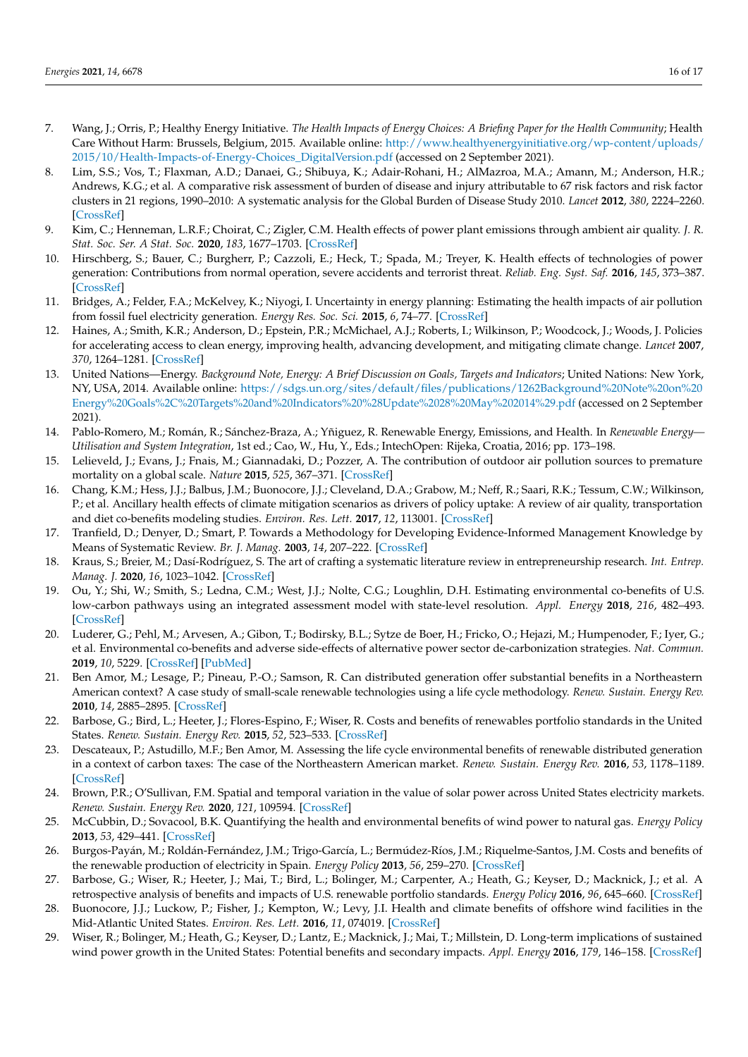- <span id="page-15-0"></span>7. Wang, J.; Orris, P.; Healthy Energy Initiative. *The Health Impacts of Energy Choices: A Briefing Paper for the Health Community*; Health Care Without Harm: Brussels, Belgium, 2015. Available online: [http://www.healthyenergyinitiative.org/wp-content/uploads/](http://www.healthyenergyinitiative.org/wp-content/uploads/2015/10/Health-Impacts-of-Energy-Choices_DigitalVersion.pdf) [2015/10/Health-Impacts-of-Energy-Choices\\_DigitalVersion.pdf](http://www.healthyenergyinitiative.org/wp-content/uploads/2015/10/Health-Impacts-of-Energy-Choices_DigitalVersion.pdf) (accessed on 2 September 2021).
- <span id="page-15-1"></span>8. Lim, S.S.; Vos, T.; Flaxman, A.D.; Danaei, G.; Shibuya, K.; Adair-Rohani, H.; AlMazroa, M.A.; Amann, M.; Anderson, H.R.; Andrews, K.G.; et al. A comparative risk assessment of burden of disease and injury attributable to 67 risk factors and risk factor clusters in 21 regions, 1990–2010: A systematic analysis for the Global Burden of Disease Study 2010. *Lancet* **2012**, *380*, 2224–2260. [\[CrossRef\]](http://doi.org/10.1016/S0140-6736(12)61766-8)
- <span id="page-15-2"></span>9. Kim, C.; Henneman, L.R.F.; Choirat, C.; Zigler, C.M. Health effects of power plant emissions through ambient air quality. *J. R. Stat. Soc. Ser. A Stat. Soc.* **2020**, *183*, 1677–1703. [\[CrossRef\]](http://doi.org/10.1111/rssa.12547)
- 10. Hirschberg, S.; Bauer, C.; Burgherr, P.; Cazzoli, E.; Heck, T.; Spada, M.; Treyer, K. Health effects of technologies of power generation: Contributions from normal operation, severe accidents and terrorist threat. *Reliab. Eng. Syst. Saf.* **2016**, *145*, 373–387. [\[CrossRef\]](http://doi.org/10.1016/j.ress.2015.09.013)
- <span id="page-15-3"></span>11. Bridges, A.; Felder, F.A.; McKelvey, K.; Niyogi, I. Uncertainty in energy planning: Estimating the health impacts of air pollution from fossil fuel electricity generation. *Energy Res. Soc. Sci.* **2015**, *6*, 74–77. [\[CrossRef\]](http://doi.org/10.1016/j.erss.2014.12.002)
- <span id="page-15-4"></span>12. Haines, A.; Smith, K.R.; Anderson, D.; Epstein, P.R.; McMichael, A.J.; Roberts, I.; Wilkinson, P.; Woodcock, J.; Woods, J. Policies for accelerating access to clean energy, improving health, advancing development, and mitigating climate change. *Lancet* **2007**, *370*, 1264–1281. [\[CrossRef\]](http://doi.org/10.1016/S0140-6736(07)61257-4)
- <span id="page-15-5"></span>13. United Nations—Energy. *Background Note, Energy: A Brief Discussion on Goals, Targets and Indicators*; United Nations: New York, NY, USA, 2014. Available online: [https://sdgs.un.org/sites/default/files/publications/1262Background%20Note%20on%20](https://sdgs.un.org/sites/default/files/publications/1262Background%20Note%20on%20Energy%20Goals%2C%20Targets%20and%20Indicators%20%28Update%2028%20May%202014%29.pdf) [Energy%20Goals%2C%20Targets%20and%20Indicators%20%28Update%2028%20May%202014%29.pdf](https://sdgs.un.org/sites/default/files/publications/1262Background%20Note%20on%20Energy%20Goals%2C%20Targets%20and%20Indicators%20%28Update%2028%20May%202014%29.pdf) (accessed on 2 September 2021).
- <span id="page-15-6"></span>14. Pablo-Romero, M.; Román, R.; Sánchez-Braza, A.; Yñiguez, R. Renewable Energy, Emissions, and Health. In *Renewable Energy— Utilisation and System Integration*, 1st ed.; Cao, W., Hu, Y., Eds.; IntechOpen: Rijeka, Croatia, 2016; pp. 173–198.
- <span id="page-15-7"></span>15. Lelieveld, J.; Evans, J.; Fnais, M.; Giannadaki, D.; Pozzer, A. The contribution of outdoor air pollution sources to premature mortality on a global scale. *Nature* **2015**, *525*, 367–371. [\[CrossRef\]](http://doi.org/10.1038/nature15371)
- <span id="page-15-8"></span>16. Chang, K.M.; Hess, J.J.; Balbus, J.M.; Buonocore, J.J.; Cleveland, D.A.; Grabow, M.; Neff, R.; Saari, R.K.; Tessum, C.W.; Wilkinson, P.; et al. Ancillary health effects of climate mitigation scenarios as drivers of policy uptake: A review of air quality, transportation and diet co-benefits modeling studies. *Environ. Res. Lett.* **2017**, *12*, 113001. [\[CrossRef\]](http://doi.org/10.1088/1748-9326/aa8f7b)
- <span id="page-15-9"></span>17. Tranfield, D.; Denyer, D.; Smart, P. Towards a Methodology for Developing Evidence-Informed Management Knowledge by Means of Systematic Review. *Br. J. Manag.* **2003**, *14*, 207–222. [\[CrossRef\]](http://doi.org/10.1111/1467-8551.00375)
- <span id="page-15-10"></span>18. Kraus, S.; Breier, M.; Dasí-Rodríguez, S. The art of crafting a systematic literature review in entrepreneurship research. *Int. Entrep. Manag. J.* **2020**, *16*, 1023–1042. [\[CrossRef\]](http://doi.org/10.1007/s11365-020-00635-4)
- <span id="page-15-11"></span>19. Ou, Y.; Shi, W.; Smith, S.; Ledna, C.M.; West, J.J.; Nolte, C.G.; Loughlin, D.H. Estimating environmental co-benefits of U.S. low-carbon pathways using an integrated assessment model with state-level resolution. *Appl. Energy* **2018**, *216*, 482–493. [\[CrossRef\]](http://doi.org/10.1016/j.apenergy.2018.02.122)
- 20. Luderer, G.; Pehl, M.; Arvesen, A.; Gibon, T.; Bodirsky, B.L.; Sytze de Boer, H.; Fricko, O.; Hejazi, M.; Humpenoder, F.; Iyer, G.; et al. Environmental co-benefits and adverse side-effects of alternative power sector de-carbonization strategies. *Nat. Commun.* **2019**, *10*, 5229. [\[CrossRef\]](http://doi.org/10.1038/s41467-019-13067-8) [\[PubMed\]](http://www.ncbi.nlm.nih.gov/pubmed/31745077)
- <span id="page-15-12"></span>21. Ben Amor, M.; Lesage, P.; Pineau, P.-O.; Samson, R. Can distributed generation offer substantial benefits in a Northeastern American context? A case study of small-scale renewable technologies using a life cycle methodology. *Renew. Sustain. Energy Rev.* **2010**, *14*, 2885–2895. [\[CrossRef\]](http://doi.org/10.1016/j.rser.2010.08.001)
- <span id="page-15-13"></span>22. Barbose, G.; Bird, L.; Heeter, J.; Flores-Espino, F.; Wiser, R. Costs and benefits of renewables portfolio standards in the United States. *Renew. Sustain. Energy Rev.* **2015**, *52*, 523–533. [\[CrossRef\]](http://doi.org/10.1016/j.rser.2015.07.175)
- <span id="page-15-14"></span>23. Descateaux, P.; Astudillo, M.F.; Ben Amor, M. Assessing the life cycle environmental benefits of renewable distributed generation in a context of carbon taxes: The case of the Northeastern American market. *Renew. Sustain. Energy Rev.* **2016**, *53*, 1178–1189. [\[CrossRef\]](http://doi.org/10.1016/j.rser.2015.09.022)
- <span id="page-15-15"></span>24. Brown, P.R.; O'Sullivan, F.M. Spatial and temporal variation in the value of solar power across United States electricity markets. *Renew. Sustain. Energy Rev.* **2020**, *121*, 109594. [\[CrossRef\]](http://doi.org/10.1016/j.rser.2019.109594)
- <span id="page-15-16"></span>25. McCubbin, D.; Sovacool, B.K. Quantifying the health and environmental benefits of wind power to natural gas. *Energy Policy* **2013**, *53*, 429–441. [\[CrossRef\]](http://doi.org/10.1016/j.enpol.2012.11.004)
- <span id="page-15-17"></span>26. Burgos-Payán, M.; Roldán-Fernández, J.M.; Trigo-García, L.; Bermúdez-Ríos, J.M.; Riquelme-Santos, J.M. Costs and benefits of the renewable production of electricity in Spain. *Energy Policy* **2013**, *56*, 259–270. [\[CrossRef\]](http://doi.org/10.1016/j.enpol.2012.12.047)
- <span id="page-15-18"></span>27. Barbose, G.; Wiser, R.; Heeter, J.; Mai, T.; Bird, L.; Bolinger, M.; Carpenter, A.; Heath, G.; Keyser, D.; Macknick, J.; et al. A retrospective analysis of benefits and impacts of U.S. renewable portfolio standards. *Energy Policy* **2016**, *96*, 645–660. [\[CrossRef\]](http://doi.org/10.1016/j.enpol.2016.06.035)
- <span id="page-15-19"></span>28. Buonocore, J.J.; Luckow, P.; Fisher, J.; Kempton, W.; Levy, J.I. Health and climate benefits of offshore wind facilities in the Mid-Atlantic United States. *Environ. Res. Lett.* **2016**, *11*, 074019. [\[CrossRef\]](http://doi.org/10.1088/1748-9326/11/7/074019)
- <span id="page-15-20"></span>29. Wiser, R.; Bolinger, M.; Heath, G.; Keyser, D.; Lantz, E.; Macknick, J.; Mai, T.; Millstein, D. Long-term implications of sustained wind power growth in the United States: Potential benefits and secondary impacts. *Appl. Energy* **2016**, *179*, 146–158. [\[CrossRef\]](http://doi.org/10.1016/j.apenergy.2016.06.123)